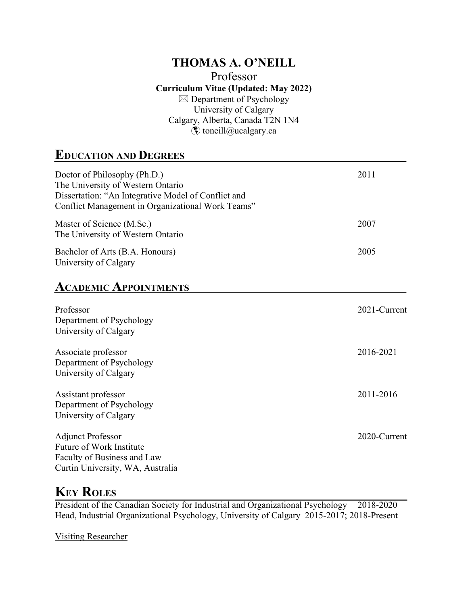#### **THOMAS A. O'NEILL** Professor **Curriculum Vitae (Updated: May 2022)**  $\boxtimes$  Department of Psychology University of Calgary Calgary, Alberta, Canada T2N 1N4  $\hat{\boldsymbol{\epsilon}}$  toneill@ucalgary.ca

## **EDUCATION AND DEGREES**

| Doctor of Philosophy (Ph.D.)<br>The University of Western Ontario<br>Dissertation: "An Integrative Model of Conflict and<br>Conflict Management in Organizational Work Teams" | 2011         |
|-------------------------------------------------------------------------------------------------------------------------------------------------------------------------------|--------------|
| Master of Science (M.Sc.)<br>The University of Western Ontario                                                                                                                | 2007         |
| Bachelor of Arts (B.A. Honours)<br>University of Calgary                                                                                                                      | 2005         |
| <b>ACADEMIC APPOINTMENTS</b>                                                                                                                                                  |              |
| Professor<br>Department of Psychology<br>University of Calgary                                                                                                                | 2021-Current |
| Associate professor<br>Department of Psychology<br>University of Calgary                                                                                                      | 2016-2021    |
| Assistant professor<br>Department of Psychology<br>University of Calgary                                                                                                      | 2011-2016    |
| <b>Adjunct Professor</b><br>Future of Work Institute<br>Faculty of Business and Law<br>Curtin University, WA, Australia                                                       | 2020-Current |

## **KEY ROLES**

President of the Canadian Society for Industrial and Organizational Psychology 2018-2020 Head, Industrial Organizational Psychology, University of Calgary 2015-2017; 2018-Present

Visiting Researcher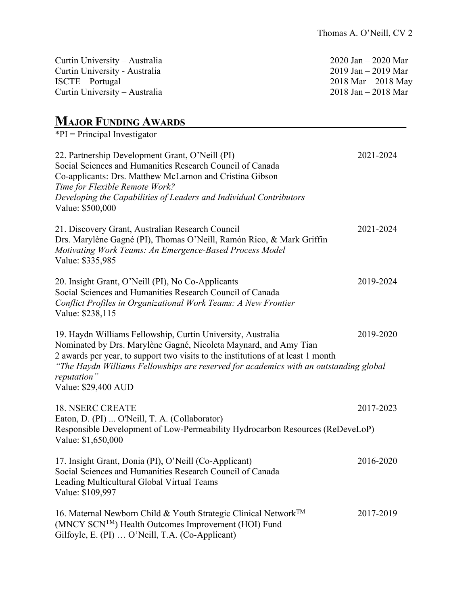| Curtin University – Australia | $2020$ Jan – 2020 Mar |
|-------------------------------|-----------------------|
| Curtin University - Australia | $2019$ Jan – 2019 Mar |
| ISCTE – Portugal              | $2018$ Mar – 2018 May |
| Curtin University – Australia | $2018$ Jan – 2018 Mar |
|                               |                       |

## **MAJOR FUNDING AWARDS**

 $*PI = Principal Investment$ 22. Partnership Development Grant, O'Neill (PI) 2021-2024 Social Sciences and Humanities Research Council of Canada Co-applicants: Drs. Matthew McLarnon and Cristina Gibson *Time for Flexible Remote Work? Developing the Capabilities of Leaders and Individual Contributors*  Value: \$500,000 21. Discovery Grant, Australian Research Council 2021-2024 Drs. Marylène Gagné (PI), Thomas O'Neill, Ramón Rico, & Mark Griffin *Motivating Work Teams: An Emergence-Based Process Model* Value: \$335,985 20. Insight Grant, O'Neill (PI), No Co-Applicants 2019-2024 Social Sciences and Humanities Research Council of Canada *Conflict Profiles in Organizational Work Teams: A New Frontier*  Value: \$238,115 19. Haydn Williams Fellowship, Curtin University, Australia 2019-2020 Nominated by Drs. Marylène Gagné, Nicoleta Maynard, and Amy Tian 2 awards per year, to support two visits to the institutions of at least 1 month *"The Haydn Williams Fellowships are reserved for academics with an outstanding global reputation"* Value: \$29,400 AUD 18. NSERC CREATE 2017-2023 Eaton, D. (PI) ... O'Neill, T. A. (Collaborator) Responsible Development of Low-Permeability Hydrocarbon Resources (ReDeveLoP) Value: \$1,650,000 17. Insight Grant, Donia (PI), O'Neill (Co-Applicant) 2016-2020 Social Sciences and Humanities Research Council of Canada Leading Multicultural Global Virtual Teams Value: \$109,997 16. Maternal Newborn Child & Youth Strategic Clinical Network<sup>TM</sup> 2017-2019 (MNCY SCNTM) Health Outcomes Improvement (HOI) Fund Gilfoyle, E. (PI) … O'Neill, T.A. (Co-Applicant)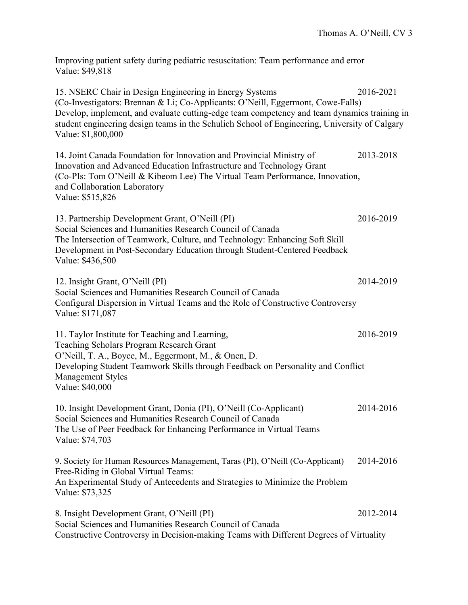Improving patient safety during pediatric resuscitation: Team performance and error Value: \$49,818

15. NSERC Chair in Design Engineering in Energy Systems 2016-2021 (Co-Investigators: Brennan & Li; Co-Applicants: O'Neill, Eggermont, Cowe-Falls) Develop, implement, and evaluate cutting-edge team competency and team dynamics training in student engineering design teams in the Schulich School of Engineering, University of Calgary Value: \$1,800,000

14. Joint Canada Foundation for Innovation and Provincial Ministry of 2013-2018 Innovation and Advanced Education Infrastructure and Technology Grant (Co-PIs: Tom O'Neill & Kibeom Lee) The Virtual Team Performance, Innovation, and Collaboration Laboratory Value: \$515,826

13. Partnership Development Grant, O'Neill (PI) 2016-2019 Social Sciences and Humanities Research Council of Canada The Intersection of Teamwork, Culture, and Technology: Enhancing Soft Skill Development in Post-Secondary Education through Student-Centered Feedback Value: \$436,500

12. Insight Grant, O'Neill (PI) 2014-2019 Social Sciences and Humanities Research Council of Canada Configural Dispersion in Virtual Teams and the Role of Constructive Controversy Value: \$171,087

11. Taylor Institute for Teaching and Learning, 2016-2019 Teaching Scholars Program Research Grant O'Neill, T. A., Boyce, M., Eggermont, M., & Onen, D. Developing Student Teamwork Skills through Feedback on Personality and Conflict Management Styles Value: \$40,000

10. Insight Development Grant, Donia (PI), O'Neill (Co-Applicant) 2014-2016 Social Sciences and Humanities Research Council of Canada The Use of Peer Feedback for Enhancing Performance in Virtual Teams Value: \$74,703

9. Society for Human Resources Management, Taras (PI), O'Neill (Co-Applicant) 2014-2016 Free-Riding in Global Virtual Teams: An Experimental Study of Antecedents and Strategies to Minimize the Problem Value: \$73,325

8. Insight Development Grant, O'Neill (PI) 2012-2014 Social Sciences and Humanities Research Council of Canada Constructive Controversy in Decision-making Teams with Different Degrees of Virtuality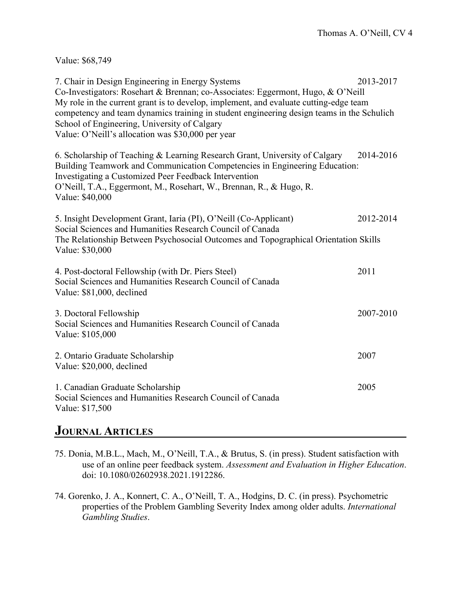Value: \$68,749

| 7. Chair in Design Engineering in Energy Systems<br>Co-Investigators: Rosehart & Brennan; co-Associates: Eggermont, Hugo, & O'Neill<br>My role in the current grant is to develop, implement, and evaluate cutting-edge team<br>competency and team dynamics training in student engineering design teams in the Schulich<br>School of Engineering, University of Calgary<br>Value: O'Neill's allocation was \$30,000 per year | 2013-2017 |
|--------------------------------------------------------------------------------------------------------------------------------------------------------------------------------------------------------------------------------------------------------------------------------------------------------------------------------------------------------------------------------------------------------------------------------|-----------|
| 6. Scholarship of Teaching & Learning Research Grant, University of Calgary<br>Building Teamwork and Communication Competencies in Engineering Education:<br>Investigating a Customized Peer Feedback Intervention<br>O'Neill, T.A., Eggermont, M., Rosehart, W., Brennan, R., & Hugo, R.<br>Value: \$40,000                                                                                                                   | 2014-2016 |
| 5. Insight Development Grant, Iaria (PI), O'Neill (Co-Applicant)<br>Social Sciences and Humanities Research Council of Canada<br>The Relationship Between Psychosocial Outcomes and Topographical Orientation Skills<br>Value: \$30,000                                                                                                                                                                                        | 2012-2014 |
| 4. Post-doctoral Fellowship (with Dr. Piers Steel)<br>Social Sciences and Humanities Research Council of Canada<br>Value: \$81,000, declined                                                                                                                                                                                                                                                                                   | 2011      |
| 3. Doctoral Fellowship<br>Social Sciences and Humanities Research Council of Canada<br>Value: \$105,000                                                                                                                                                                                                                                                                                                                        | 2007-2010 |
| 2. Ontario Graduate Scholarship<br>Value: \$20,000, declined                                                                                                                                                                                                                                                                                                                                                                   | 2007      |
| 1. Canadian Graduate Scholarship<br>Social Sciences and Humanities Research Council of Canada<br>Value: \$17,500                                                                                                                                                                                                                                                                                                               | 2005      |

### **JOURNAL ARTICLES**

- 75. Donia, M.B.L., Mach, M., O'Neill, T.A., & Brutus, S. (in press). Student satisfaction with use of an online peer feedback system. *Assessment and Evaluation in Higher Education*. doi: 10.1080/02602938.2021.1912286.
- 74. Gorenko, J. A., Konnert, C. A., O'Neill, T. A., Hodgins, D. C. (in press). Psychometric properties of the Problem Gambling Severity Index among older adults. *International Gambling Studies*.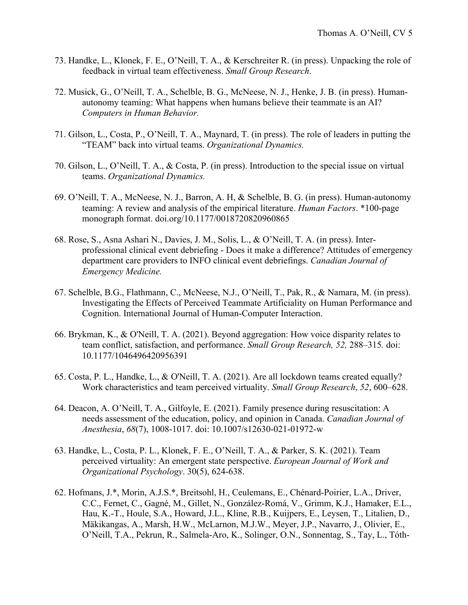- 73. Handke, L., Klonek, F. E., O'Neill, T. A., & Kerschreiter R. (in press). Unpacking the role of feedback in virtual team effectiveness. *Small Group Research*.
- 72. Musick, G., O'Neill, T. A., Schelble, B. G., McNeese, N. J., Henke, J. B. (in press). Humanautonomy teaming: What happens when humans believe their teammate is an AI? *Computers in Human Behavior.*
- 71. Gilson, L., Costa, P., O'Neill, T. A., Maynard, T. (in press). The role of leaders in putting the "TEAM" back into virtual teams. *Organizational Dynamics.*
- 70. Gilson, L., O'Neill, T. A., & Costa, P. (in press). Introduction to the special issue on virtual teams. *Organizational Dynamics.*
- 69. O'Neill, T. A., McNeese, N. J., Barron, A. H, & Schelble, B. G. (in press). Human-autonomy teaming: A review and analysis of the empirical literature. *Human Factors*. \*100-page monograph format. doi.org/10.1177/0018720820960865
- 68. Rose, S., Asna Ashari N., Davies, J. M., Solis, L., & O'Neill, T. A. (in press). Interprofessional clinical event debriefing - Does it make a difference? Attitudes of emergency department care providers to INFO clinical event debriefings. *Canadian Journal of Emergency Medicine.*
- 67. Schelble, B.G., Flathmann, C., McNeese, N.J., O'Neill, T., Pak, R., & Namara, M. (in press). Investigating the Effects of Perceived Teammate Artificiality on Human Performance and Cognition. International Journal of Human-Computer Interaction.
- 66. Brykman, K., & O'Neill, T. A. (2021). Beyond aggregation: How voice disparity relates to team conflict, satisfaction, and performance. *Small Group Research, 52,* 288–315*.* doi: 10.1177/1046496420956391
- 65. Costa, P. L., Handke, L., & O'Neill, T. A. (2021). Are all lockdown teams created equally? Work characteristics and team perceived virtuality. *Small Group Research*, *52*, 600–628.
- 64. Deacon, A. O'Neill, T. A., Gilfoyle, E. (2021). Family presence during resuscitation: A needs assessment of the education, policy, and opinion in Canada. *Canadian Journal of Anesthesia*, *68*(7), 1008-1017. doi: 10.1007/s12630-021-01972-w
- 63. Handke, L., Costa, P. L., Klonek, F. E., O'Neill, T. A., & Parker, S. K. (2021). Team perceived virtuality: An emergent state perspective. *European Journal of Work and Organizational Psychology*. 30(5), 624-638.
- 62. Hofmans, J.\*, Morin, A.J.S.\*, Breitsohl, H., Ceulemans, E., Chénard-Poirier, L.A., Driver, C.C., Fernet, C., Gagné, M., Gillet, N., González-Romá, V., Grimm, K.J., Hamaker, E.L., Hau, K.-T., Houle, S.A., Howard, J.L., Kline, R.B., Kuijpers, E., Leysen, T., Litalien, D., Mäkikangas, A., Marsh, H.W., McLarnon, M.J.W., Meyer, J.P., Navarro, J., Olivier, E., O'Neill, T.A., Pekrun, R., Salmela-Aro, K., Solinger, O.N., Sonnentag, S., Tay, L., Tóth-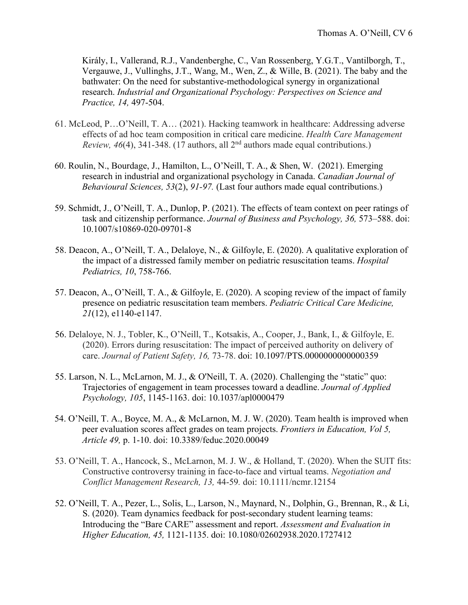Király, I., Vallerand, R.J., Vandenberghe, C., Van Rossenberg, Y.G.T., Vantilborgh, T., Vergauwe, J., Vullinghs, J.T., Wang, M., Wen, Z., & Wille, B. (2021). The baby and the bathwater: On the need for substantive-methodological synergy in organizational research. *Industrial and Organizational Psychology: Perspectives on Science and Practice, 14,* 497-504.

- 61. McLeod, P…O'Neill, T. A… (2021). Hacking teamwork in healthcare: Addressing adverse effects of ad hoc team composition in critical care medicine. *Health Care Management Review, 46*(4), 341-348. (17 authors, all 2<sup>nd</sup> authors made equal contributions.)
- 60. Roulin, N., Bourdage, J., Hamilton, L., O'Neill, T. A., & Shen, W. (2021). Emerging research in industrial and organizational psychology in Canada. *Canadian Journal of Behavioural Sciences, 53*(2), *91-97.* (Last four authors made equal contributions.)
- 59. Schmidt, J., O'Neill, T. A., Dunlop, P. (2021). The effects of team context on peer ratings of task and citizenship performance. *Journal of Business and Psychology, 36,* 573–588. doi: 10.1007/s10869-020-09701-8
- 58. Deacon, A., O'Neill, T. A., Delaloye, N., & Gilfoyle, E. (2020). A qualitative exploration of the impact of a distressed family member on pediatric resuscitation teams. *Hospital Pediatrics, 10*, 758-766.
- 57. Deacon, A., O'Neill, T. A., & Gilfoyle, E. (2020). A scoping review of the impact of family presence on pediatric resuscitation team members. *Pediatric Critical Care Medicine, 21*(12), e1140-e1147.
- 56. Delaloye, N. J., Tobler, K., O'Neill, T., Kotsakis, A., Cooper, J., Bank, I., & Gilfoyle, E. (2020). Errors during resuscitation: The impact of perceived authority on delivery of care. *Journal of Patient Safety, 16,* 73-78. doi: 10.1097/PTS.0000000000000359
- 55. Larson, N. L., McLarnon, M. J., & O'Neill, T. A. (2020). Challenging the "static" quo: Trajectories of engagement in team processes toward a deadline. *Journal of Applied Psychology, 105*, 1145-1163. doi: 10.1037/apl0000479
- 54. O'Neill, T. A., Boyce, M. A., & McLarnon, M. J. W. (2020). Team health is improved when peer evaluation scores affect grades on team projects. *Frontiers in Education, Vol 5, Article 49,* p. 1-10. doi: 10.3389/feduc.2020.00049
- 53. O'Neill, T. A., Hancock, S., McLarnon, M. J. W., & Holland, T. (2020). When the SUIT fits: Constructive controversy training in face-to-face and virtual teams. *Negotiation and Conflict Management Research, 13,* 44-59*.* doi: 10.1111/ncmr.12154
- 52. O'Neill, T. A., Pezer, L., Solis, L., Larson, N., Maynard, N., Dolphin, G., Brennan, R., & Li, S. (2020). Team dynamics feedback for post-secondary student learning teams: Introducing the "Bare CARE" assessment and report. *Assessment and Evaluation in Higher Education, 45,* 1121-1135. doi: 10.1080/02602938.2020.1727412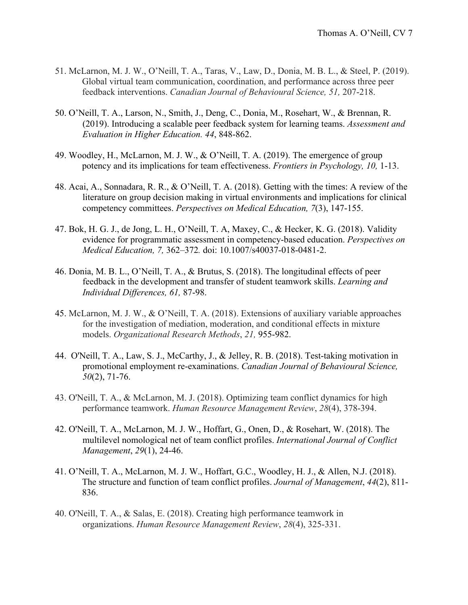- 51. McLarnon, M. J. W., O'Neill, T. A., Taras, V., Law, D., Donia, M. B. L., & Steel, P. (2019). Global virtual team communication, coordination, and performance across three peer feedback interventions. *Canadian Journal of Behavioural Science, 51,* 207-218.
- 50. O'Neill, T. A., Larson, N., Smith, J., Deng, C., Donia, M., Rosehart, W., & Brennan, R. (2019). Introducing a scalable peer feedback system for learning teams. *Assessment and Evaluation in Higher Education. 44*, 848-862.
- 49. Woodley, H., McLarnon, M. J. W., & O'Neill, T. A. (2019). The emergence of group potency and its implications for team effectiveness. *Frontiers in Psychology, 10,* 1-13.
- 48. Acai, A., Sonnadara, R. R., & O'Neill, T. A. (2018). Getting with the times: A review of the literature on group decision making in virtual environments and implications for clinical competency committees. *Perspectives on Medical Education, 7*(3), 147-155.
- 47. Bok, H. G. J., de Jong, L. H., O'Neill, T. A, Maxey, C., & Hecker, K. G. (2018). Validity evidence for programmatic assessment in competency-based education. *Perspectives on Medical Education, 7,* 362–372*.* doi: 10.1007/s40037-018-0481-2.
- 46. Donia, M. B. L., O'Neill, T. A., & Brutus, S. (2018). The longitudinal effects of peer feedback in the development and transfer of student teamwork skills. *Learning and Individual Differences, 61,* 87-98.
- 45. McLarnon, M. J. W., & O'Neill, T. A. (2018). Extensions of auxiliary variable approaches for the investigation of mediation, moderation, and conditional effects in mixture models. *Organizational Research Methods*, *21,* 955-982.
- 44. O'Neill, T. A., Law, S. J., McCarthy, J., & Jelley, R. B. (2018). Test-taking motivation in promotional employment re-examinations. *Canadian Journal of Behavioural Science, 50*(2), 71-76.
- 43. O'Neill, T. A., & McLarnon, M. J. (2018). Optimizing team conflict dynamics for high performance teamwork. *Human Resource Management Review*, *28*(4), 378-394.
- 42. O'Neill, T. A., McLarnon, M. J. W., Hoffart, G., Onen, D., & Rosehart, W. (2018). The multilevel nomological net of team conflict profiles. *International Journal of Conflict Management*, *29*(1), 24-46.
- 41. O'Neill, T. A., McLarnon, M. J. W., Hoffart, G.C., Woodley, H. J., & Allen, N.J. (2018). The structure and function of team conflict profiles. *Journal of Management*, *44*(2), 811- 836.
- 40. O'Neill, T. A., & Salas, E. (2018). Creating high performance teamwork in organizations. *Human Resource Management Review*, *28*(4), 325-331.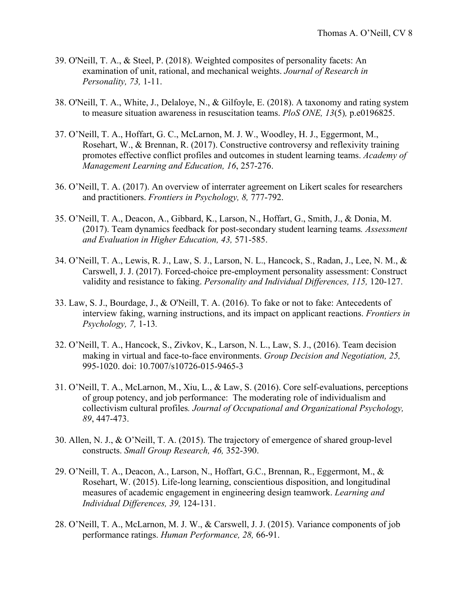- 39. O'Neill, T. A., & Steel, P. (2018). Weighted composites of personality facets: An examination of unit, rational, and mechanical weights. *Journal of Research in Personality, 73,* 1-11.
- 38. O'Neill, T. A., White, J., Delaloye, N., & Gilfoyle, E. (2018). A taxonomy and rating system to measure situation awareness in resuscitation teams. *PloS ONE, 13*(5)*,* p.e0196825.
- 37. O'Neill, T. A., Hoffart, G. C., McLarnon, M. J. W., Woodley, H. J., Eggermont, M., Rosehart, W., & Brennan, R. (2017). Constructive controversy and reflexivity training promotes effective conflict profiles and outcomes in student learning teams. *Academy of Management Learning and Education, 16*, 257-276.
- 36. O'Neill, T. A. (2017). An overview of interrater agreement on Likert scales for researchers and practitioners. *Frontiers in Psychology, 8,* 777-792.
- 35. O'Neill, T. A., Deacon, A., Gibbard, K., Larson, N., Hoffart, G., Smith, J., & Donia, M. (2017). Team dynamics feedback for post-secondary student learning teams*. Assessment and Evaluation in Higher Education, 43,* 571-585.
- 34. O'Neill, T. A., Lewis, R. J., Law, S. J., Larson, N. L., Hancock, S., Radan, J., Lee, N. M., & Carswell, J. J. (2017). Forced-choice pre-employment personality assessment: Construct validity and resistance to faking. *Personality and Individual Differences, 115,* 120-127.
- 33. Law, S. J., Bourdage, J., & O'Neill, T. A. (2016). To fake or not to fake: Antecedents of interview faking, warning instructions, and its impact on applicant reactions. *Frontiers in Psychology, 7,* 1-13*.*
- 32. O'Neill, T. A., Hancock, S., Zivkov, K., Larson, N. L., Law, S. J., (2016). Team decision making in virtual and face-to-face environments. *Group Decision and Negotiation, 25,* 995-1020. doi: 10.7007/s10726-015-9465-3
- 31. O'Neill, T. A., McLarnon, M., Xiu, L., & Law, S. (2016). Core self-evaluations, perceptions of group potency, and job performance: The moderating role of individualism and collectivism cultural profiles*. Journal of Occupational and Organizational Psychology, 89*, 447-473.
- 30. Allen, N. J., & O'Neill, T. A. (2015). The trajectory of emergence of shared group-level constructs. *Small Group Research, 46,* 352-390.
- 29. O'Neill, T. A., Deacon, A., Larson, N., Hoffart, G.C., Brennan, R., Eggermont, M., & Rosehart, W. (2015). Life-long learning, conscientious disposition, and longitudinal measures of academic engagement in engineering design teamwork. *Learning and Individual Differences, 39,* 124-131.
- 28. O'Neill, T. A., McLarnon, M. J. W., & Carswell, J. J. (2015). Variance components of job performance ratings. *Human Performance, 28,* 66-91.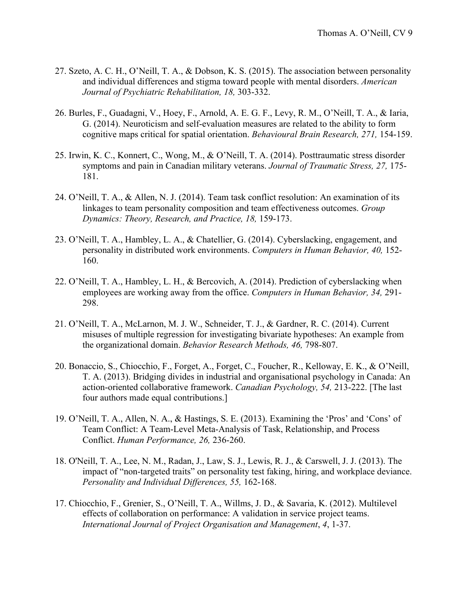- 27. Szeto, A. C. H., O'Neill, T. A., & Dobson, K. S. (2015). The association between personality and individual differences and stigma toward people with mental disorders. *American Journal of Psychiatric Rehabilitation, 18,* 303-332.
- 26. Burles, F., Guadagni, V., Hoey, F., Arnold, A. E. G. F., Levy, R. M., O'Neill, T. A., & Iaria, G. (2014). Neuroticism and self-evaluation measures are related to the ability to form cognitive maps critical for spatial orientation. *Behavioural Brain Research, 271,* 154-159.
- 25. Irwin, K. C., Konnert, C., Wong, M., & O'Neill, T. A. (2014). Posttraumatic stress disorder symptoms and pain in Canadian military veterans. *Journal of Traumatic Stress, 27,* 175- 181.
- 24. O'Neill, T. A., & Allen, N. J. (2014). Team task conflict resolution: An examination of its linkages to team personality composition and team effectiveness outcomes. *Group Dynamics: Theory, Research, and Practice, 18,* 159-173.
- 23. O'Neill, T. A., Hambley, L. A., & Chatellier, G. (2014). Cyberslacking, engagement, and personality in distributed work environments. *Computers in Human Behavior, 40,* 152- 160.
- 22. O'Neill, T. A., Hambley, L. H., & Bercovich, A. (2014). Prediction of cyberslacking when employees are working away from the office. *Computers in Human Behavior, 34,* 291- 298.
- 21. O'Neill, T. A., McLarnon, M. J. W., Schneider, T. J., & Gardner, R. C. (2014). Current misuses of multiple regression for investigating bivariate hypotheses: An example from the organizational domain. *Behavior Research Methods, 46,* 798-807.
- 20. Bonaccio, S., Chiocchio, F., Forget, A., Forget, C., Foucher, R., Kelloway, E. K., & O'Neill, T. A. (2013). Bridging divides in industrial and organisational psychology in Canada: An action-oriented collaborative framework. *Canadian Psychology, 54,* 213-222. [The last four authors made equal contributions.]
- 19. O'Neill, T. A., Allen, N. A., & Hastings, S. E. (2013). Examining the 'Pros' and 'Cons' of Team Conflict: A Team-Level Meta-Analysis of Task, Relationship, and Process Conflict. *Human Performance, 26,* 236-260.
- 18. O'Neill, T. A., Lee, N. M., Radan, J., Law, S. J., Lewis, R. J., & Carswell, J. J. (2013). The impact of "non-targeted traits" on personality test faking, hiring, and workplace deviance. *Personality and Individual Differences, 55,* 162-168.
- 17. Chiocchio, F., Grenier, S., O'Neill, T. A., Willms, J. D., & Savaria, K. (2012). Multilevel effects of collaboration on performance: A validation in service project teams. *International Journal of Project Organisation and Management*, *4*, 1-37.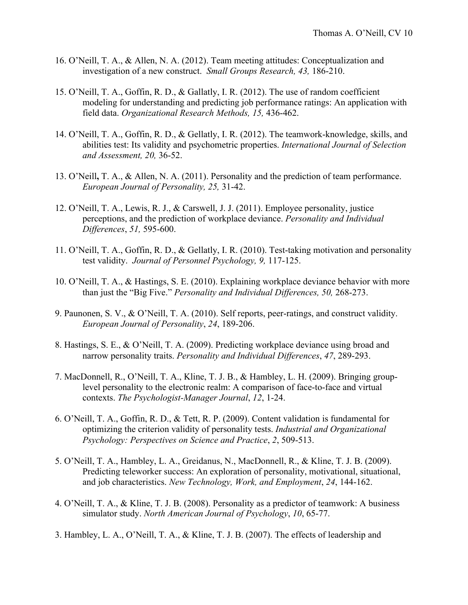- 16. O'Neill, T. A., & Allen, N. A. (2012). Team meeting attitudes: Conceptualization and investigation of a new construct. *Small Groups Research, 43,* 186-210.
- 15. O'Neill, T. A., Goffin, R. D., & Gallatly, I. R. (2012). The use of random coefficient modeling for understanding and predicting job performance ratings: An application with field data. *Organizational Research Methods, 15,* 436-462.
- 14. O'Neill, T. A., Goffin, R. D., & Gellatly, I. R. (2012). The teamwork-knowledge, skills, and abilities test: Its validity and psychometric properties. *International Journal of Selection and Assessment, 20,* 36-52.
- 13. O'Neill**,** T. A., & Allen, N. A. (2011). Personality and the prediction of team performance. *European Journal of Personality, 25,* 31-42.
- 12. O'Neill, T. A., Lewis, R. J., & Carswell, J. J. (2011). Employee personality, justice perceptions, and the prediction of workplace deviance. *Personality and Individual Differences*, *51,* 595-600.
- 11. O'Neill, T. A., Goffin, R. D., & Gellatly, I. R. (2010). Test-taking motivation and personality test validity. *Journal of Personnel Psychology, 9,* 117-125.
- 10. O'Neill, T. A., & Hastings, S. E. (2010). Explaining workplace deviance behavior with more than just the "Big Five." *Personality and Individual Differences, 50,* 268-273.
- 9. Paunonen, S. V., & O'Neill, T. A. (2010). Self reports, peer-ratings, and construct validity. *European Journal of Personality*, *24*, 189-206.
- 8. Hastings, S. E., & O'Neill, T. A. (2009). Predicting workplace deviance using broad and narrow personality traits. *Personality and Individual Differences*, *47*, 289-293.
- 7. MacDonnell, R., O'Neill, T. A., Kline, T. J. B., & Hambley, L. H. (2009). Bringing grouplevel personality to the electronic realm: A comparison of face-to-face and virtual contexts. *The Psychologist-Manager Journal*, *12*, 1-24.
- 6. O'Neill, T. A., Goffin, R. D., & Tett, R. P. (2009). Content validation is fundamental for optimizing the criterion validity of personality tests. *Industrial and Organizational Psychology: Perspectives on Science and Practice*, *2*, 509-513.
- 5. O'Neill, T. A., Hambley, L. A., Greidanus, N., MacDonnell, R., & Kline, T. J. B. (2009). Predicting teleworker success: An exploration of personality, motivational, situational, and job characteristics. *New Technology, Work, and Employment*, *24*, 144-162.
- 4. O'Neill, T. A., & Kline, T. J. B. (2008). Personality as a predictor of teamwork: A business simulator study. *North American Journal of Psychology*, *10*, 65-77.
- 3. Hambley, L. A., O'Neill, T. A., & Kline, T. J. B. (2007). The effects of leadership and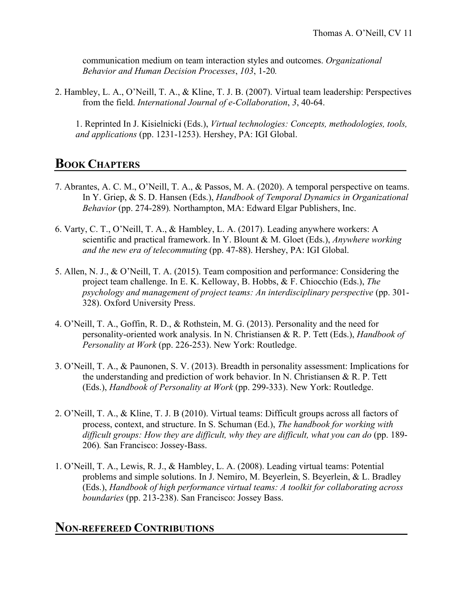communication medium on team interaction styles and outcomes. *Organizational Behavior and Human Decision Processes*, *103*, 1-20*.*

2. Hambley, L. A., O'Neill, T. A., & Kline, T. J. B. (2007). Virtual team leadership: Perspectives from the field. *International Journal of e-Collaboration*, *3*, 40-64.

1. Reprinted In J. Kisielnicki (Eds.), *Virtual technologies: Concepts, methodologies, tools, and applications* (pp. 1231-1253). Hershey, PA: IGI Global.

# **BOOK CHAPTERS**

- 7. Abrantes, A. C. M., O'Neill, T. A., & Passos, M. A. (2020). A temporal perspective on teams. In Y. Griep, & S. D. Hansen (Eds.), *Handbook of Temporal Dynamics in Organizational Behavior* (pp. 274-289)*.* Northampton, MA: Edward Elgar Publishers, Inc.
- 6. Varty, C. T., O'Neill, T. A., & Hambley, L. A. (2017). Leading anywhere workers: A scientific and practical framework. In Y. Blount & M. Gloet (Eds.), *Anywhere working and the new era of telecommuting* (pp. 47-88). Hershey, PA: IGI Global.
- 5. Allen, N. J., & O'Neill, T. A. (2015). Team composition and performance: Considering the project team challenge. In E. K. Kelloway, B. Hobbs, & F. Chiocchio (Eds.), *The psychology and management of project teams: An interdisciplinary perspective (pp. 301-*328). Oxford University Press.
- 4. O'Neill, T. A., Goffin, R. D., & Rothstein, M. G. (2013). Personality and the need for personality-oriented work analysis. In N. Christiansen & R. P. Tett (Eds.), *Handbook of Personality at Work* (pp. 226-253). New York: Routledge.
- 3. O'Neill, T. A., & Paunonen, S. V. (2013). Breadth in personality assessment: Implications for the understanding and prediction of work behavior. In N. Christiansen & R. P. Tett (Eds.), *Handbook of Personality at Work* (pp. 299-333). New York: Routledge.
- 2. O'Neill, T. A., & Kline, T. J. B (2010). Virtual teams: Difficult groups across all factors of process, context, and structure. In S. Schuman (Ed.), *The handbook for working with difficult groups: How they are difficult, why they are difficult, what you can do* (pp. 189- 206)*.* San Francisco: Jossey-Bass.
- 1. O'Neill, T. A., Lewis, R. J., & Hambley, L. A. (2008). Leading virtual teams: Potential problems and simple solutions. In J. Nemiro, M. Beyerlein, S. Beyerlein, & L. Bradley (Eds.), *Handbook of high performance virtual teams: A toolkit for collaborating across boundaries* (pp. 213-238). San Francisco: Jossey Bass.

### **NON-REFEREED CONTRIBUTIONS**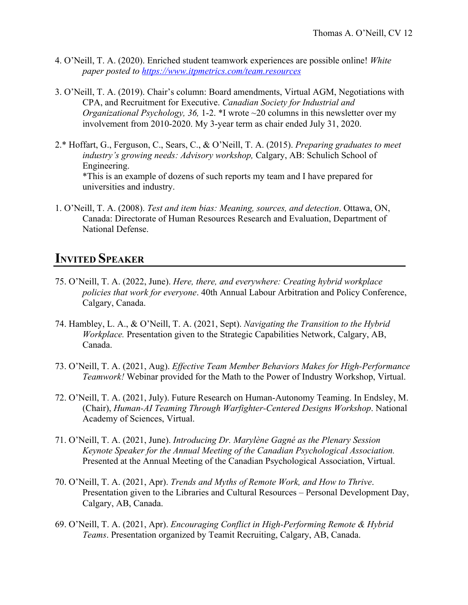- 4. O'Neill, T. A. (2020). Enriched student teamwork experiences are possible online! *White paper posted to https://www.itpmetrics.com/team.resources*
- 3. O'Neill, T. A. (2019). Chair's column: Board amendments, Virtual AGM, Negotiations with CPA, and Recruitment for Executive. *Canadian Society for Industrial and Organizational Psychology, 36,* 1-2. \*I wrote ~20 columns in this newsletter over my involvement from 2010-2020. My 3-year term as chair ended July 31, 2020.
- 2.\* Hoffart, G., Ferguson, C., Sears, C., & O'Neill, T. A. (2015). *Preparing graduates to meet industry's growing needs: Advisory workshop,* Calgary, AB: Schulich School of Engineering. \*This is an example of dozens of such reports my team and I have prepared for universities and industry.
- 1. O'Neill, T. A. (2008). *Test and item bias: Meaning, sources, and detection*. Ottawa, ON, Canada: Directorate of Human Resources Research and Evaluation, Department of National Defense.

## **INVITED SPEAKER**

- 75. O'Neill, T. A. (2022, June). *Here, there, and everywhere: Creating hybrid workplace policies that work for everyone*. 40th Annual Labour Arbitration and Policy Conference, Calgary, Canada.
- 74. Hambley, L. A., & O'Neill, T. A. (2021, Sept). *Navigating the Transition to the Hybrid Workplace.* Presentation given to the Strategic Capabilities Network, Calgary, AB, Canada.
- 73. O'Neill, T. A. (2021, Aug). *Effective Team Member Behaviors Makes for High-Performance Teamwork!* Webinar provided for the Math to the Power of Industry Workshop, Virtual.
- 72. O'Neill, T. A. (2021, July). Future Research on Human-Autonomy Teaming. In Endsley, M. (Chair), *Human-AI Teaming Through Warfighter-Centered Designs Workshop*. National Academy of Sciences, Virtual.
- 71. O'Neill, T. A. (2021, June). *Introducing Dr. Marylène Gagné as the Plenary Session Keynote Speaker for the Annual Meeting of the Canadian Psychological Association.*  Presented at the Annual Meeting of the Canadian Psychological Association, Virtual.
- 70. O'Neill, T. A. (2021, Apr). *Trends and Myths of Remote Work, and How to Thrive*. Presentation given to the Libraries and Cultural Resources – Personal Development Day, Calgary, AB, Canada.
- 69. O'Neill, T. A. (2021, Apr). *Encouraging Conflict in High-Performing Remote & Hybrid Teams*. Presentation organized by Teamit Recruiting, Calgary, AB, Canada.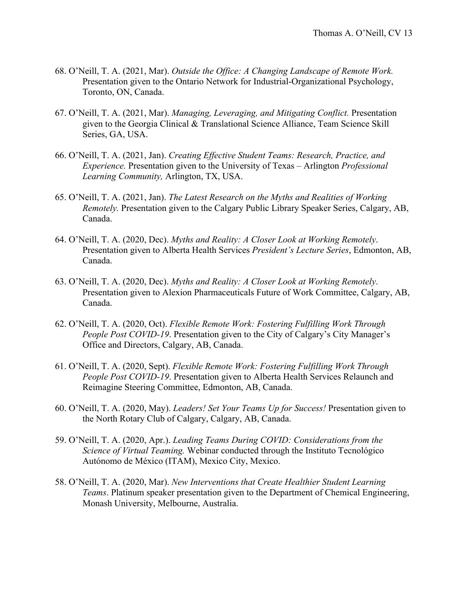- 68. O'Neill, T. A. (2021, Mar). *Outside the Office: A Changing Landscape of Remote Work.*  Presentation given to the Ontario Network for Industrial-Organizational Psychology, Toronto, ON, Canada.
- 67. O'Neill, T. A. (2021, Mar). *Managing, Leveraging, and Mitigating Conflict.* Presentation given to the Georgia Clinical & Translational Science Alliance, Team Science Skill Series, GA, USA.
- 66. O'Neill, T. A. (2021, Jan). *Creating Effective Student Teams: Research, Practice, and Experience.* Presentation given to the University of Texas – Arlington *Professional Learning Community,* Arlington, TX, USA.
- 65. O'Neill, T. A. (2021, Jan). *The Latest Research on the Myths and Realities of Working Remotely.* Presentation given to the Calgary Public Library Speaker Series, Calgary, AB, Canada.
- 64. O'Neill, T. A. (2020, Dec). *Myths and Reality: A Closer Look at Working Remotely*. Presentation given to Alberta Health Services *President's Lecture Series*, Edmonton, AB, Canada.
- 63. O'Neill, T. A. (2020, Dec). *Myths and Reality: A Closer Look at Working Remotely*. Presentation given to Alexion Pharmaceuticals Future of Work Committee, Calgary, AB, Canada.
- 62. O'Neill, T. A. (2020, Oct). *Flexible Remote Work: Fostering Fulfilling Work Through People Post COVID-19*. Presentation given to the City of Calgary's City Manager's Office and Directors, Calgary, AB, Canada.
- 61. O'Neill, T. A. (2020, Sept). *Flexible Remote Work: Fostering Fulfilling Work Through People Post COVID-19*. Presentation given to Alberta Health Services Relaunch and Reimagine Steering Committee, Edmonton, AB, Canada.
- 60. O'Neill, T. A. (2020, May). *Leaders! Set Your Teams Up for Success!* Presentation given to the North Rotary Club of Calgary, Calgary, AB, Canada.
- 59. O'Neill, T. A. (2020, Apr.). *Leading Teams During COVID: Considerations from the Science of Virtual Teaming.* Webinar conducted through the Instituto Tecnológico Autónomo de México (ITAM), Mexico City, Mexico.
- 58. O'Neill, T. A. (2020, Mar). *New Interventions that Create Healthier Student Learning Teams*. Platinum speaker presentation given to the Department of Chemical Engineering, Monash University, Melbourne, Australia.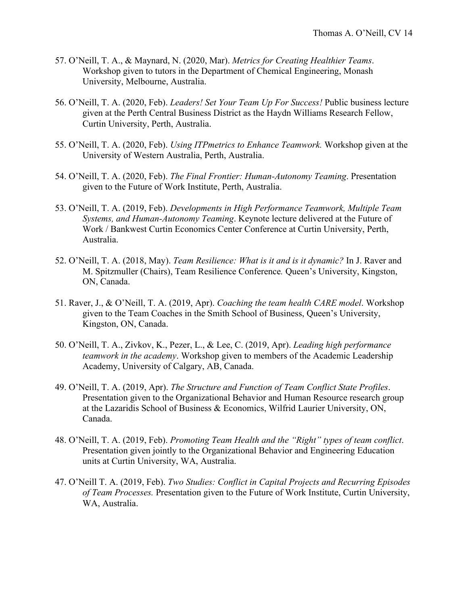- 57. O'Neill, T. A., & Maynard, N. (2020, Mar). *Metrics for Creating Healthier Teams*. Workshop given to tutors in the Department of Chemical Engineering, Monash University, Melbourne, Australia.
- 56. O'Neill, T. A. (2020, Feb). *Leaders! Set Your Team Up For Success!* Public business lecture given at the Perth Central Business District as the Haydn Williams Research Fellow, Curtin University, Perth, Australia.
- 55. O'Neill, T. A. (2020, Feb). *Using ITPmetrics to Enhance Teamwork.* Workshop given at the University of Western Australia, Perth, Australia.
- 54. O'Neill, T. A. (2020, Feb). *The Final Frontier: Human-Autonomy Teaming*. Presentation given to the Future of Work Institute, Perth, Australia.
- 53. O'Neill, T. A. (2019, Feb). *Developments in High Performance Teamwork, Multiple Team Systems, and Human-Autonomy Teaming*. Keynote lecture delivered at the Future of Work / Bankwest Curtin Economics Center Conference at Curtin University, Perth, Australia.
- 52. O'Neill, T. A. (2018, May). *Team Resilience: What is it and is it dynamic?* In J. Raver and M. Spitzmuller (Chairs), Team Resilience Conference*.* Queen's University, Kingston, ON, Canada.
- 51. Raver, J., & O'Neill, T. A. (2019, Apr). *Coaching the team health CARE model*. Workshop given to the Team Coaches in the Smith School of Business, Queen's University, Kingston, ON, Canada.
- 50. O'Neill, T. A., Zivkov, K., Pezer, L., & Lee, C. (2019, Apr). *Leading high performance teamwork in the academy*. Workshop given to members of the Academic Leadership Academy, University of Calgary, AB, Canada.
- 49. O'Neill, T. A. (2019, Apr). *The Structure and Function of Team Conflict State Profiles*. Presentation given to the Organizational Behavior and Human Resource research group at the Lazaridis School of Business & Economics, Wilfrid Laurier University, ON, Canada.
- 48. O'Neill, T. A. (2019, Feb). *Promoting Team Health and the "Right" types of team conflict*. Presentation given jointly to the Organizational Behavior and Engineering Education units at Curtin University, WA, Australia.
- 47. O'Neill T. A. (2019, Feb). *Two Studies: Conflict in Capital Projects and Recurring Episodes of Team Processes.* Presentation given to the Future of Work Institute, Curtin University, WA, Australia.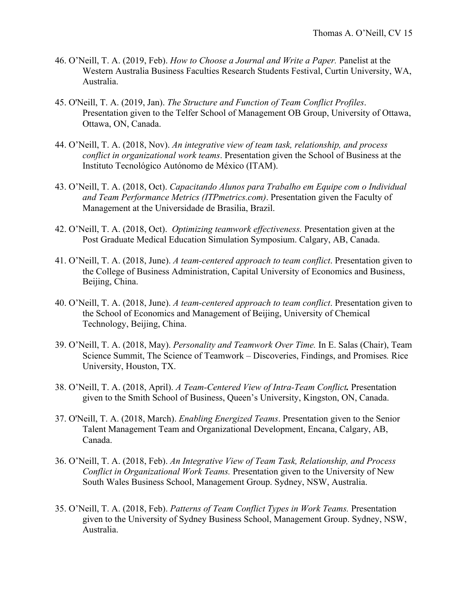- 46. O'Neill, T. A. (2019, Feb). *How to Choose a Journal and Write a Paper.* Panelist at the Western Australia Business Faculties Research Students Festival, Curtin University, WA, Australia.
- 45. O'Neill, T. A. (2019, Jan). *The Structure and Function of Team Conflict Profiles*. Presentation given to the Telfer School of Management OB Group, University of Ottawa, Ottawa, ON, Canada.
- 44. O'Neill, T. A. (2018, Nov). *An integrative view of team task, relationship, and process conflict in organizational work teams*. Presentation given the School of Business at the Instituto Tecnológico Autónomo de México (ITAM).
- 43. O'Neill, T. A. (2018, Oct). *Capacitando Alunos para Trabalho em Equipe com o Individual and Team Performance Metrics (ITPmetrics.com)*. Presentation given the Faculty of Management at the Universidade de Brasilia, Brazil.
- 42. O'Neill, T. A. (2018, Oct). *Optimizing teamwork effectiveness.* Presentation given at the Post Graduate Medical Education Simulation Symposium. Calgary, AB, Canada.
- 41. O'Neill, T. A. (2018, June). *A team-centered approach to team conflict*. Presentation given to the College of Business Administration, Capital University of Economics and Business, Beijing, China.
- 40. O'Neill, T. A. (2018, June). *A team-centered approach to team conflict*. Presentation given to the School of Economics and Management of Beijing, University of Chemical Technology, Beijing, China.
- 39. O'Neill, T. A. (2018, May). *Personality and Teamwork Over Time.* In E. Salas (Chair), Team Science Summit, The Science of Teamwork – Discoveries, Findings, and Promises*.* Rice University, Houston, TX.
- 38. O'Neill, T. A. (2018, April). *A Team-Centered View of Intra-Team Conflict.* Presentation given to the Smith School of Business, Queen's University, Kingston, ON, Canada.
- 37. O'Neill, T. A. (2018, March). *Enabling Energized Teams*. Presentation given to the Senior Talent Management Team and Organizational Development, Encana, Calgary, AB, Canada.
- 36. O'Neill, T. A. (2018, Feb). *An Integrative View of Team Task, Relationship, and Process Conflict in Organizational Work Teams.* Presentation given to the University of New South Wales Business School, Management Group. Sydney, NSW, Australia.
- 35. O'Neill, T. A. (2018, Feb). *Patterns of Team Conflict Types in Work Teams.* Presentation given to the University of Sydney Business School, Management Group. Sydney, NSW, Australia.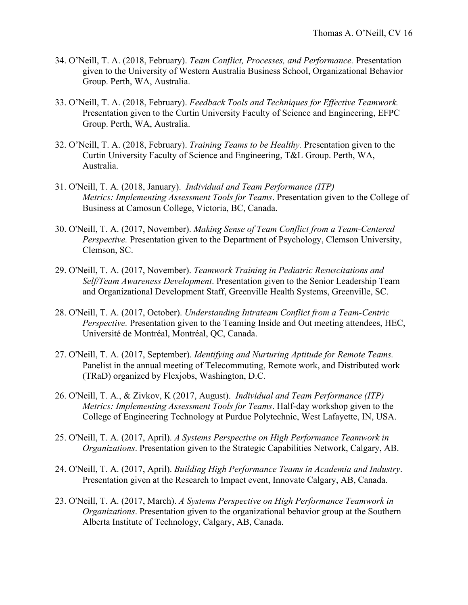- 34. O'Neill, T. A. (2018, February). *Team Conflict, Processes, and Performance.* Presentation given to the University of Western Australia Business School, Organizational Behavior Group. Perth, WA, Australia.
- 33. O'Neill, T. A. (2018, February). *Feedback Tools and Techniques for Effective Teamwork.*  Presentation given to the Curtin University Faculty of Science and Engineering, EFPC Group. Perth, WA, Australia.
- 32. O'Neill, T. A. (2018, February). *Training Teams to be Healthy.* Presentation given to the Curtin University Faculty of Science and Engineering, T&L Group. Perth, WA, Australia.
- 31. O'Neill, T. A. (2018, January). *Individual and Team Performance (ITP) Metrics: Implementing Assessment Tools for Teams*. Presentation given to the College of Business at Camosun College, Victoria, BC, Canada.
- 30. O'Neill, T. A. (2017, November). *Making Sense of Team Conflict from a Team-Centered Perspective.* Presentation given to the Department of Psychology, Clemson University, Clemson, SC.
- 29. O'Neill, T. A. (2017, November). *Teamwork Training in Pediatric Resuscitations and Self/Team Awareness Development*. Presentation given to the Senior Leadership Team and Organizational Development Staff, Greenville Health Systems, Greenville, SC.
- 28. O'Neill, T. A. (2017, October). *Understanding Intrateam Conflict from a Team-Centric Perspective.* Presentation given to the Teaming Inside and Out meeting attendees, HEC, Université de Montréal, Montréal, QC, Canada.
- 27. O'Neill, T. A. (2017, September). *Identifying and Nurturing Aptitude for Remote Teams.*  Panelist in the annual meeting of Telecommuting, Remote work, and Distributed work (TRaD) organized by Flexjobs, Washington, D.C.
- 26. O'Neill, T. A., & Zivkov, K (2017, August). *Individual and Team Performance (ITP) Metrics: Implementing Assessment Tools for Teams*. Half-day workshop given to the College of Engineering Technology at Purdue Polytechnic, West Lafayette, IN, USA.
- 25. O'Neill, T. A. (2017, April). *A Systems Perspective on High Performance Teamwork in Organizations*. Presentation given to the Strategic Capabilities Network, Calgary, AB.
- 24. O'Neill, T. A. (2017, April). *Building High Performance Teams in Academia and Industry*. Presentation given at the Research to Impact event, Innovate Calgary, AB, Canada.
- 23. O'Neill, T. A. (2017, March). *A Systems Perspective on High Performance Teamwork in Organizations*. Presentation given to the organizational behavior group at the Southern Alberta Institute of Technology, Calgary, AB, Canada.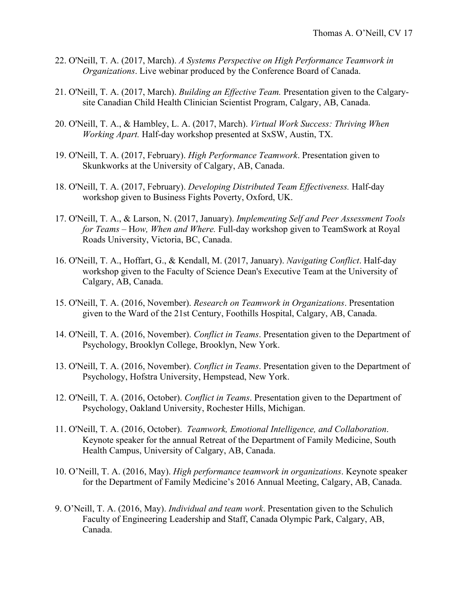- 22. O'Neill, T. A. (2017, March). *A Systems Perspective on High Performance Teamwork in Organizations*. Live webinar produced by the Conference Board of Canada.
- 21. O'Neill, T. A. (2017, March). *Building an Effective Team.* Presentation given to the Calgarysite Canadian Child Health Clinician Scientist Program, Calgary, AB, Canada.
- 20. O'Neill, T. A., & Hambley, L. A. (2017, March). *Virtual Work Success: Thriving When Working Apart.* Half-day workshop presented at SxSW, Austin, TX.
- 19. O'Neill, T. A. (2017, February). *High Performance Teamwork*. Presentation given to Skunkworks at the University of Calgary, AB, Canada.
- 18. O'Neill, T. A. (2017, February). *Developing Distributed Team Effectiveness.* Half-day workshop given to Business Fights Poverty, Oxford, UK.
- 17. O'Neill, T. A., & Larson, N. (2017, January). *Implementing Self and Peer Assessment Tools for Teams –* H*ow, When and Where.* Full-day workshop given to TeamSwork at Royal Roads University, Victoria, BC, Canada.
- 16. O'Neill, T. A., Hoffart, G., & Kendall, M. (2017, January). *Navigating Conflict*. Half-day workshop given to the Faculty of Science Dean's Executive Team at the University of Calgary, AB, Canada.
- 15. O'Neill, T. A. (2016, November). *Research on Teamwork in Organizations*. Presentation given to the Ward of the 21st Century, Foothills Hospital, Calgary, AB, Canada.
- 14. O'Neill, T. A. (2016, November). *Conflict in Teams*. Presentation given to the Department of Psychology, Brooklyn College, Brooklyn, New York.
- 13. O'Neill, T. A. (2016, November). *Conflict in Teams*. Presentation given to the Department of Psychology, Hofstra University, Hempstead, New York.
- 12. O'Neill, T. A. (2016, October). *Conflict in Teams*. Presentation given to the Department of Psychology, Oakland University, Rochester Hills, Michigan.
- 11. O'Neill, T. A. (2016, October). *Teamwork, Emotional Intelligence, and Collaboration*. Keynote speaker for the annual Retreat of the Department of Family Medicine, South Health Campus, University of Calgary, AB, Canada.
- 10. O'Neill, T. A. (2016, May). *High performance teamwork in organizations*. Keynote speaker for the Department of Family Medicine's 2016 Annual Meeting, Calgary, AB, Canada.
- 9. O'Neill, T. A. (2016, May). *Individual and team work*. Presentation given to the Schulich Faculty of Engineering Leadership and Staff, Canada Olympic Park, Calgary, AB, Canada.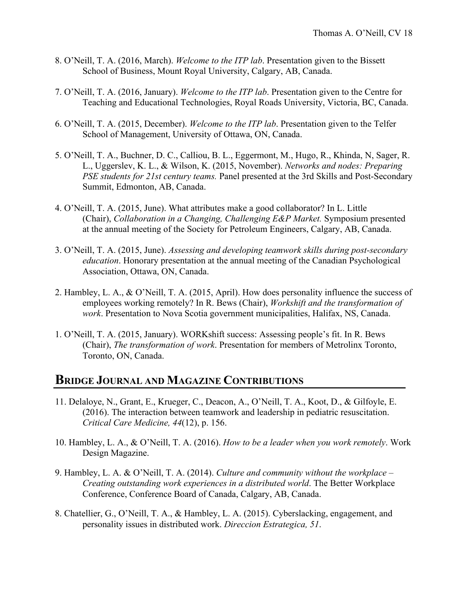- 8. O'Neill, T. A. (2016, March). *Welcome to the ITP lab*. Presentation given to the Bissett School of Business, Mount Royal University, Calgary, AB, Canada.
- 7. O'Neill, T. A. (2016, January). *Welcome to the ITP lab*. Presentation given to the Centre for Teaching and Educational Technologies, Royal Roads University, Victoria, BC, Canada.
- 6. O'Neill, T. A. (2015, December). *Welcome to the ITP lab*. Presentation given to the Telfer School of Management, University of Ottawa, ON, Canada.
- 5. O'Neill, T. A., Buchner, D. C., Calliou, B. L., Eggermont, M., Hugo, R., Khinda, N, Sager, R. L., Uggerslev, K. L., & Wilson, K. (2015, November). *Networks and nodes: Preparing PSE students for 21st century teams.* Panel presented at the 3rd Skills and Post-Secondary Summit, Edmonton, AB, Canada.
- 4. O'Neill, T. A. (2015, June). What attributes make a good collaborator? In L. Little (Chair), *Collaboration in a Changing, Challenging E&P Market.* Symposium presented at the annual meeting of the Society for Petroleum Engineers, Calgary, AB, Canada.
- 3. O'Neill, T. A. (2015, June). *Assessing and developing teamwork skills during post-secondary education*. Honorary presentation at the annual meeting of the Canadian Psychological Association, Ottawa, ON, Canada.
- 2. Hambley, L. A., & O'Neill, T. A. (2015, April). How does personality influence the success of employees working remotely? In R. Bews (Chair), *Workshift and the transformation of work*. Presentation to Nova Scotia government municipalities, Halifax, NS, Canada.
- 1. O'Neill, T. A. (2015, January). WORKshift success: Assessing people's fit. In R. Bews (Chair), *The transformation of work*. Presentation for members of Metrolinx Toronto, Toronto, ON, Canada.

#### **BRIDGE JOURNAL AND MAGAZINE CONTRIBUTIONS**

- 11. Delaloye, N., Grant, E., Krueger, C., Deacon, A., O'Neill, T. A., Koot, D., & Gilfoyle, E. (2016). The interaction between teamwork and leadership in pediatric resuscitation. *Critical Care Medicine, 44*(12), p. 156.
- 10. Hambley, L. A., & O'Neill, T. A. (2016). *How to be a leader when you work remotely*. Work Design Magazine.
- 9. Hambley, L. A. & O'Neill, T. A. (2014). *Culture and community without the workplace – Creating outstanding work experiences in a distributed world*. The Better Workplace Conference, Conference Board of Canada, Calgary, AB, Canada.
- 8. Chatellier, G., O'Neill, T. A., & Hambley, L. A. (2015). Cyberslacking, engagement, and personality issues in distributed work. *Direccion Estrategica, 51*.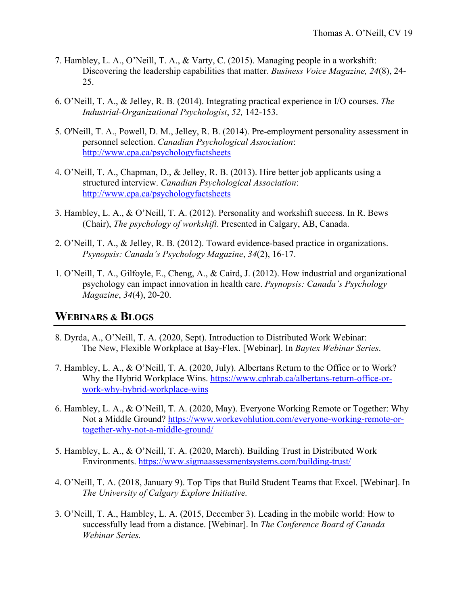- 7. Hambley, L. A., O'Neill, T. A., & Varty, C. (2015). Managing people in a workshift: Discovering the leadership capabilities that matter. *Business Voice Magazine, 24*(8), 24- 25.
- 6. O'Neill, T. A., & Jelley, R. B. (2014). Integrating practical experience in I/O courses. *The Industrial-Organizational Psychologist*, *52,* 142-153.
- 5. O'Neill, T. A., Powell, D. M., Jelley, R. B. (2014). Pre-employment personality assessment in personnel selection. *Canadian Psychological Association*: http://www.cpa.ca/psychologyfactsheets
- 4. O'Neill, T. A., Chapman, D., & Jelley, R. B. (2013). Hire better job applicants using a structured interview. *Canadian Psychological Association*: http://www.cpa.ca/psychologyfactsheets
- 3. Hambley, L. A., & O'Neill, T. A. (2012). Personality and workshift success. In R. Bews (Chair), *The psychology of workshift*. Presented in Calgary, AB, Canada.
- 2. O'Neill, T. A., & Jelley, R. B. (2012). Toward evidence-based practice in organizations. *Psynopsis: Canada's Psychology Magazine*, *34*(2), 16-17.
- 1. O'Neill, T. A., Gilfoyle, E., Cheng, A., & Caird, J. (2012). How industrial and organizational psychology can impact innovation in health care. *Psynopsis: Canada's Psychology Magazine*, *34*(4), 20-20.

#### **WEBINARS & BLOGS**

- 8. Dyrda, A., O'Neill, T. A. (2020, Sept). Introduction to Distributed Work Webinar: The New, Flexible Workplace at Bay-Flex. [Webinar]. In *Baytex Webinar Series*.
- 7. Hambley, L. A., & O'Neill, T. A. (2020, July). Albertans Return to the Office or to Work? Why the Hybrid Workplace Wins. https://www.cphrab.ca/albertans-return-office-orwork-why-hybrid-workplace-wins
- 6. Hambley, L. A., & O'Neill, T. A. (2020, May). Everyone Working Remote or Together: Why Not a Middle Ground? https://www.workevohlution.com/everyone-working-remote-ortogether-why-not-a-middle-ground/
- 5. Hambley, L. A., & O'Neill, T. A. (2020, March). Building Trust in Distributed Work Environments. https://www.sigmaassessmentsystems.com/building-trust/
- 4. O'Neill, T. A. (2018, January 9). Top Tips that Build Student Teams that Excel. [Webinar]. In *The University of Calgary Explore Initiative.*
- 3. O'Neill, T. A., Hambley, L. A. (2015, December 3). Leading in the mobile world: How to successfully lead from a distance. [Webinar]. In *The Conference Board of Canada Webinar Series.*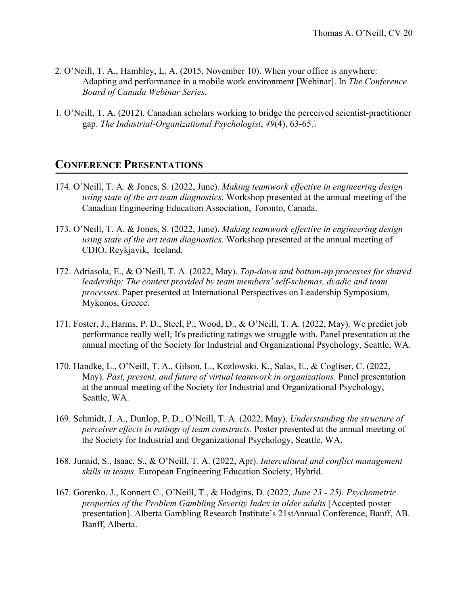- 2. O'Neill, T. A., Hambley, L. A. (2015, November 10). When your office is anywhere: Adapting and performance in a mobile work environment [Webinar]. In *The Conference Board of Canada Webinar Series.*
- 1. O'Neill, T. A. (2012). Canadian scholars working to bridge the perceived scientist-practitioner gap. *The Industrial-Organizational Psychologist*, *49*(4), 63-65.*\*

#### **CONFERENCE PRESENTATIONS**

- 174. O'Neill, T. A. & Jones, S. (2022, June). *Making teamwork effective in engineering design using state of the art team diagnostics*. Workshop presented at the annual meeting of the Canadian Engineering Education Association, Toronto, Canada.
- 173. O'Neill, T. A. & Jones, S. (2022, June). *Making teamwork effective in engineering design using state of the art team diagnostics*. Workshop presented at the annual meeting of CDIO, Reykjavik, Iceland.
- 172. Adriasola, E., & O'Neill, T. A. (2022, May). *Top-down and bottom-up processes for shared leadership: The context provided by team members' self-schemas, dyadic and team processes*. Paper presented at International Perspectives on Leadership Symposium, Mykonos, Greece.
- 171. Foster, J., Harms, P. D., Steel, P., Wood, D., & O'Neill, T. A. (2022, May). We predict job performance really well; It's predicting ratings we struggle with. Panel presentation at the annual meeting of the Society for Industrial and Organizational Psychology, Seattle, WA.
- 170. Handke, L., O'Neill, T. A., Gilson, L., Kozlowski, K., Salas, E., & Cogliser, C. (2022, May). *Past, present, and future of virtual teamwork in organizations*. Panel presentation at the annual meeting of the Society for Industrial and Organizational Psychology, Seattle, WA.
- 169. Schmidt, J. A., Dunlop, P. D., O'Neill, T. A. (2022, May). *Understanding the structure of perceiver effects in ratings of team constructs*. Poster presented at the annual meeting of the Society for Industrial and Organizational Psychology, Seattle, WA.
- 168. Junaid, S., Isaac, S., & O'Neill, T. A. (2022, Apr). *Intercultural and conflict management skills in teams.* European Engineering Education Society, Hybrid.
- 167. Gorenko, J., Konnert C., O'Neill, T., & Hodgins, D. (2022*, June 23 - 25). Psychometric properties of the Problem Gambling Severity Index in older adults* [Accepted poster presentation]. Alberta Gambling Research Institute's 21stAnnual Conference, Banff, AB. Banff, Alberta.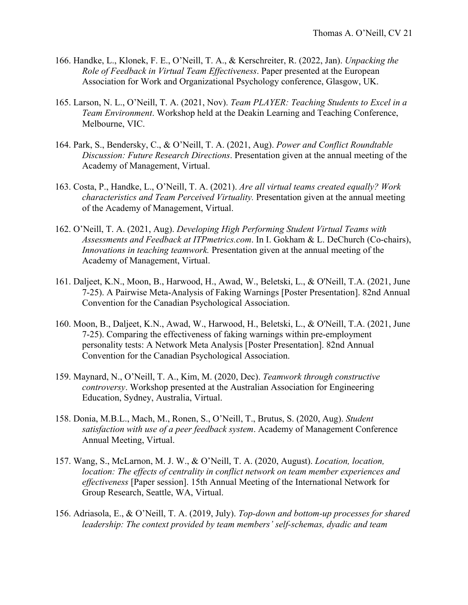- 166. Handke, L., Klonek, F. E., O'Neill, T. A., & Kerschreiter, R. (2022, Jan). *Unpacking the Role of Feedback in Virtual Team Effectiveness*. Paper presented at the European Association for Work and Organizational Psychology conference, Glasgow, UK.
- 165. Larson, N. L., O'Neill, T. A. (2021, Nov). *Team PLAYER: Teaching Students to Excel in a Team Environment*. Workshop held at the Deakin Learning and Teaching Conference, Melbourne, VIC.
- 164. Park, S., Bendersky, C., & O'Neill, T. A. (2021, Aug). *Power and Conflict Roundtable Discussion: Future Research Directions*. Presentation given at the annual meeting of the Academy of Management, Virtual.
- 163. Costa, P., Handke, L., O'Neill, T. A. (2021). *Are all virtual teams created equally? Work characteristics and Team Perceived Virtuality.* Presentation given at the annual meeting of the Academy of Management, Virtual.
- 162. O'Neill, T. A. (2021, Aug). *Developing High Performing Student Virtual Teams with Assessments and Feedback at ITPmetrics.com*. In I. Gokham & L. DeChurch (Co-chairs), *Innovations in teaching teamwork.* Presentation given at the annual meeting of the Academy of Management, Virtual.
- 161. Daljeet, K.N., Moon, B., Harwood, H., Awad, W., Beletski, L., & O'Neill, T.A. (2021, June 7-25). A Pairwise Meta-Analysis of Faking Warnings [Poster Presentation]. 82nd Annual Convention for the Canadian Psychological Association.
- 160. Moon, B., Daljeet, K.N., Awad, W., Harwood, H., Beletski, L., & O'Neill, T.A. (2021, June 7-25). Comparing the effectiveness of faking warnings within pre-employment personality tests: A Network Meta Analysis [Poster Presentation]. 82nd Annual Convention for the Canadian Psychological Association.
- 159. Maynard, N., O'Neill, T. A., Kim, M. (2020, Dec). *Teamwork through constructive controversy*. Workshop presented at the Australian Association for Engineering Education, Sydney, Australia, Virtual.
- 158. Donia, M.B.L., Mach, M., Ronen, S., O'Neill, T., Brutus, S. (2020, Aug). *Student satisfaction with use of a peer feedback system*. Academy of Management Conference Annual Meeting, Virtual.
- 157. Wang, S., McLarnon, M. J. W., & O'Neill, T. A. (2020, August). *Location, location, location: The effects of centrality in conflict network on team member experiences and effectiveness* [Paper session]. 15th Annual Meeting of the International Network for Group Research, Seattle, WA, Virtual.
- 156. Adriasola, E., & O'Neill, T. A. (2019, July). *Top-down and bottom-up processes for shared leadership: The context provided by team members' self-schemas, dyadic and team*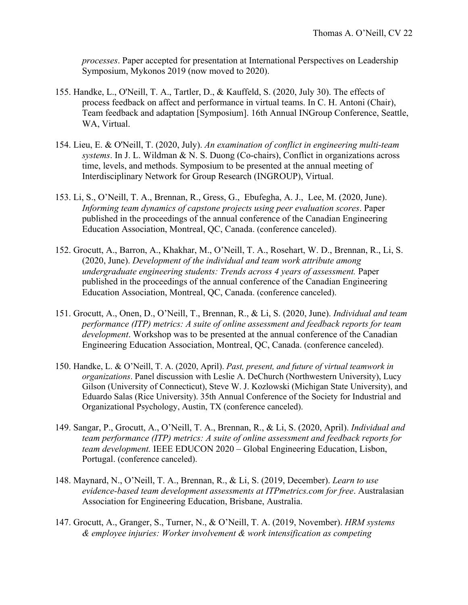*processes*. Paper accepted for presentation at International Perspectives on Leadership Symposium, Mykonos 2019 (now moved to 2020).

- 155. Handke, L., O'Neill, T. A., Tartler, D., & Kauffeld, S. (2020, July 30). The effects of process feedback on affect and performance in virtual teams. In C. H. Antoni (Chair), Team feedback and adaptation [Symposium]. 16th Annual INGroup Conference, Seattle, WA, Virtual.
- 154. Lieu, E. & O'Neill, T. (2020, July). *An examination of conflict in engineering multi-team systems*. In J. L. Wildman & N. S. Duong (Co-chairs), Conflict in organizations across time, levels, and methods. Symposium to be presented at the annual meeting of Interdisciplinary Network for Group Research (INGROUP), Virtual.
- 153. Li, S., O'Neill, T. A., Brennan, R., Gress, G., Ebufegha, A. J., Lee, M. (2020, June). *Informing team dynamics of capstone projects using peer evaluation scores*. Paper published in the proceedings of the annual conference of the Canadian Engineering Education Association, Montreal, QC, Canada. (conference canceled).
- 152. Grocutt, A., Barron, A., Khakhar, M., O'Neill, T. A., Rosehart, W. D., Brennan, R., Li, S. (2020, June). *Development of the individual and team work attribute among undergraduate engineering students: Trends across 4 years of assessment.* Paper published in the proceedings of the annual conference of the Canadian Engineering Education Association, Montreal, QC, Canada. (conference canceled).
- 151. Grocutt, A., Onen, D., O'Neill, T., Brennan, R., & Li, S. (2020, June). *Individual and team performance (ITP) metrics: A suite of online assessment and feedback reports for team development*. Workshop was to be presented at the annual conference of the Canadian Engineering Education Association, Montreal, QC, Canada. (conference canceled).
- 150. Handke, L. & O'Neill, T. A. (2020, April). *Past, present, and future of virtual teamwork in organizations*. Panel discussion with Leslie A. DeChurch (Northwestern University), Lucy Gilson (University of Connecticut), Steve W. J. Kozlowski (Michigan State University), and Eduardo Salas (Rice University). 35th Annual Conference of the Society for Industrial and Organizational Psychology, Austin, TX (conference canceled).
- 149. Sangar, P., Grocutt, A., O'Neill, T. A., Brennan, R., & Li, S. (2020, April). *Individual and team performance (ITP) metrics: A suite of online assessment and feedback reports for team development.* IEEE EDUCON 2020 – Global Engineering Education, Lisbon, Portugal. (conference canceled).
- 148. Maynard, N., O'Neill, T. A., Brennan, R., & Li, S. (2019, December). *Learn to use evidence-based team development assessments at ITPmetrics.com for free*. Australasian Association for Engineering Education, Brisbane, Australia.
- 147. Grocutt, A., Granger, S., Turner, N., & O'Neill, T. A. (2019, November). *HRM systems & employee injuries: Worker involvement & work intensification as competing*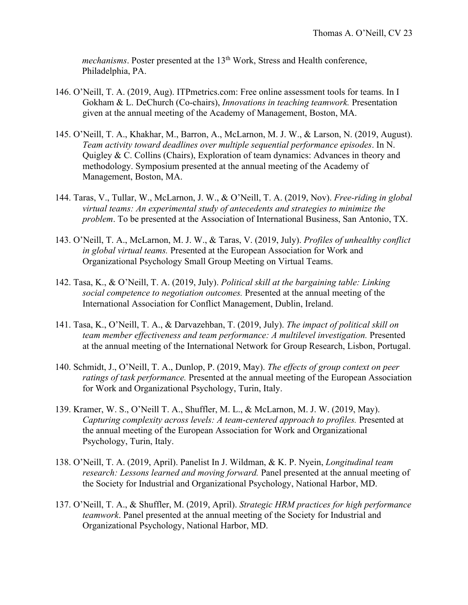*mechanisms*. Poster presented at the 13<sup>th</sup> Work, Stress and Health conference, Philadelphia, PA.

- 146. O'Neill, T. A. (2019, Aug). ITPmetrics.com: Free online assessment tools for teams. In I Gokham & L. DeChurch (Co-chairs), *Innovations in teaching teamwork.* Presentation given at the annual meeting of the Academy of Management, Boston, MA.
- 145. O'Neill, T. A., Khakhar, M., Barron, A., McLarnon, M. J. W., & Larson, N. (2019, August). *Team activity toward deadlines over multiple sequential performance episodes*. In N. Quigley & C. Collins (Chairs), Exploration of team dynamics: Advances in theory and methodology. Symposium presented at the annual meeting of the Academy of Management, Boston, MA.
- 144. Taras, V., Tullar, W., McLarnon, J. W., & O'Neill, T. A. (2019, Nov). *Free-riding in global virtual teams: An experimental study of antecedents and strategies to minimize the problem*. To be presented at the Association of International Business, San Antonio, TX.
- 143. O'Neill, T. A., McLarnon, M. J. W., & Taras, V. (2019, July). *Profiles of unhealthy conflict in global virtual teams.* Presented at the European Association for Work and Organizational Psychology Small Group Meeting on Virtual Teams.
- 142. Tasa, K., & O'Neill, T. A. (2019, July). *Political skill at the bargaining table: Linking social competence to negotiation outcomes.* Presented at the annual meeting of the International Association for Conflict Management, Dublin, Ireland.
- 141. Tasa, K., O'Neill, T. A., & Darvazehban, T. (2019, July). *The impact of political skill on team member effectiveness and team performance: A multilevel investigation.* Presented at the annual meeting of the International Network for Group Research, Lisbon, Portugal.
- 140. Schmidt, J., O'Neill, T. A., Dunlop, P. (2019, May). *The effects of group context on peer ratings of task performance.* Presented at the annual meeting of the European Association for Work and Organizational Psychology, Turin, Italy.
- 139. Kramer, W. S., O'Neill T. A., Shuffler, M. L., & McLarnon, M. J. W. (2019, May). *Capturing complexity across levels: A team-centered approach to profiles.* Presented at the annual meeting of the European Association for Work and Organizational Psychology, Turin, Italy.
- 138. O'Neill, T. A. (2019, April). Panelist In J. Wildman, & K. P. Nyein, *Longitudinal team research: Lessons learned and moving forward.* Panel presented at the annual meeting of the Society for Industrial and Organizational Psychology, National Harbor, MD.
- 137. O'Neill, T. A., & Shuffler, M. (2019, April). *Strategic HRM practices for high performance teamwork*. Panel presented at the annual meeting of the Society for Industrial and Organizational Psychology, National Harbor, MD.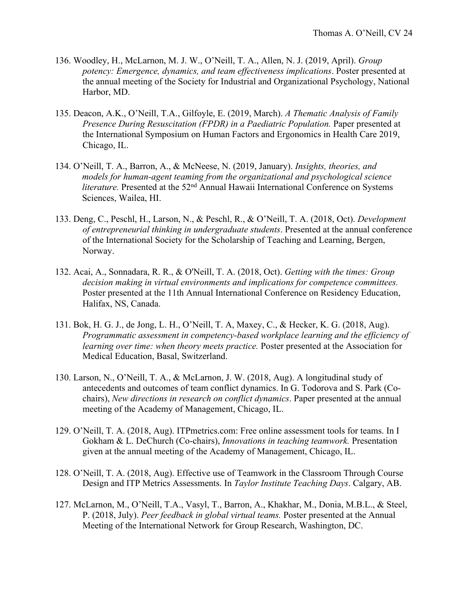- 136. Woodley, H., McLarnon, M. J. W., O'Neill, T. A., Allen, N. J. (2019, April). *Group potency: Emergence, dynamics, and team effectiveness implications*. Poster presented at the annual meeting of the Society for Industrial and Organizational Psychology, National Harbor, MD.
- 135. Deacon, A.K., O'Neill, T.A., Gilfoyle, E. (2019, March). *A Thematic Analysis of Family Presence During Resuscitation (FPDR) in a Paediatric Population.* Paper presented at the International Symposium on Human Factors and Ergonomics in Health Care 2019, Chicago, IL.
- 134. O'Neill, T. A., Barron, A., & McNeese, N. (2019, January). *Insights, theories, and models for human-agent teaming from the organizational and psychological science literature.* Presented at the 52<sup>nd</sup> Annual Hawaii International Conference on Systems Sciences, Wailea, HI.
- 133. Deng, C., Peschl, H., Larson, N., & Peschl, R., & O'Neill, T. A. (2018, Oct). *Development of entrepreneurial thinking in undergraduate students*. Presented at the annual conference of the International Society for the Scholarship of Teaching and Learning, Bergen, Norway.
- 132. Acai, A., Sonnadara, R. R., & O'Neill, T. A. (2018, Oct). *Getting with the times: Group decision making in virtual environments and implications for competence committees.* Poster presented at the 11th Annual International Conference on Residency Education, Halifax, NS, Canada.
- 131. Bok, H. G. J., de Jong, L. H., O'Neill, T. A, Maxey, C., & Hecker, K. G. (2018, Aug). *Programmatic assessment in competency-based workplace learning and the efficiency of learning over time: when theory meets practice.* Poster presented at the Association for Medical Education, Basal, Switzerland.
- 130. Larson, N., O'Neill, T. A., & McLarnon, J. W. (2018, Aug). A longitudinal study of antecedents and outcomes of team conflict dynamics. In G. Todorova and S. Park (Cochairs), *New directions in research on conflict dynamics*. Paper presented at the annual meeting of the Academy of Management, Chicago, IL.
- 129. O'Neill, T. A. (2018, Aug). ITPmetrics.com: Free online assessment tools for teams. In I Gokham & L. DeChurch (Co-chairs), *Innovations in teaching teamwork.* Presentation given at the annual meeting of the Academy of Management, Chicago, IL.
- 128. O'Neill, T. A. (2018, Aug). Effective use of Teamwork in the Classroom Through Course Design and ITP Metrics Assessments. In *Taylor Institute Teaching Days*. Calgary, AB.
- 127. McLarnon, M., O'Neill, T.A., Vasyl, T., Barron, A., Khakhar, M., Donia, M.B.L., & Steel, P. (2018, July). *Peer feedback in global virtual teams.* Poster presented at the Annual Meeting of the International Network for Group Research, Washington, DC.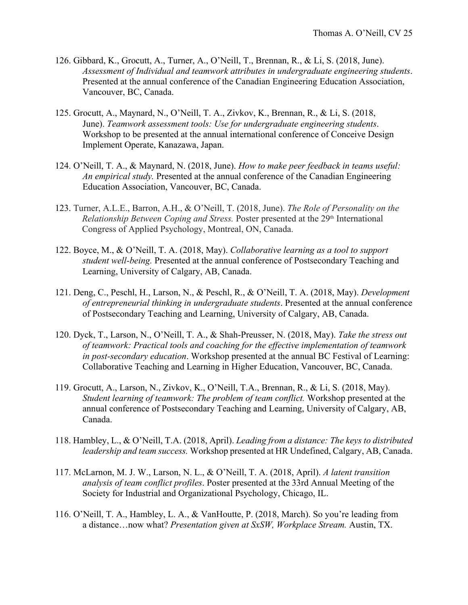- 126. Gibbard, K., Grocutt, A., Turner, A., O'Neill, T., Brennan, R., & Li, S. (2018, June). *Assessment of Individual and teamwork attributes in undergraduate engineering students*. Presented at the annual conference of the Canadian Engineering Education Association, Vancouver, BC, Canada.
- 125. Grocutt, A., Maynard, N., O'Neill, T. A., Zivkov, K., Brennan, R., & Li, S. (2018, June). *Teamwork assessment tools: Use for undergraduate engineering students*. Workshop to be presented at the annual international conference of Conceive Design Implement Operate, Kanazawa, Japan.
- 124. O'Neill, T. A., & Maynard, N. (2018, June). *How to make peer feedback in teams useful: An empirical study.* Presented at the annual conference of the Canadian Engineering Education Association, Vancouver, BC, Canada.
- 123. Turner, A.L.E., Barron, A.H., & O'Neill, T. (2018, June). *The Role of Personality on the Relationship Between Coping and Stress.* Poster presented at the 29<sup>th</sup> International Congress of Applied Psychology, Montreal, ON, Canada.
- 122. Boyce, M., & O'Neill, T. A. (2018, May). *Collaborative learning as a tool to support student well-being.* Presented at the annual conference of Postsecondary Teaching and Learning, University of Calgary, AB, Canada.
- 121. Deng, C., Peschl, H., Larson, N., & Peschl, R., & O'Neill, T. A. (2018, May). *Development of entrepreneurial thinking in undergraduate students*. Presented at the annual conference of Postsecondary Teaching and Learning, University of Calgary, AB, Canada.
- 120. Dyck, T., Larson, N., O'Neill, T. A., & Shah-Preusser, N. (2018, May). *Take the stress out of teamwork: Practical tools and coaching for the effective implementation of teamwork in post-secondary education*. Workshop presented at the annual BC Festival of Learning: Collaborative Teaching and Learning in Higher Education, Vancouver, BC, Canada.
- 119. Grocutt, A., Larson, N., Zivkov, K., O'Neill, T.A., Brennan, R., & Li, S. (2018, May). *Student learning of teamwork: The problem of team conflict.* Workshop presented at the annual conference of Postsecondary Teaching and Learning, University of Calgary, AB, Canada.
- 118. Hambley, L., & O'Neill, T.A. (2018, April). *Leading from a distance: The keys to distributed leadership and team success.* Workshop presented at HR Undefined, Calgary, AB, Canada.
- 117. McLarnon, M. J. W., Larson, N. L., & O'Neill, T. A. (2018, April). *A latent transition analysis of team conflict profiles*. Poster presented at the 33rd Annual Meeting of the Society for Industrial and Organizational Psychology, Chicago, IL.
- 116. O'Neill, T. A., Hambley, L. A., & VanHoutte, P. (2018, March). So you're leading from a distance…now what? *Presentation given at SxSW, Workplace Stream.* Austin, TX.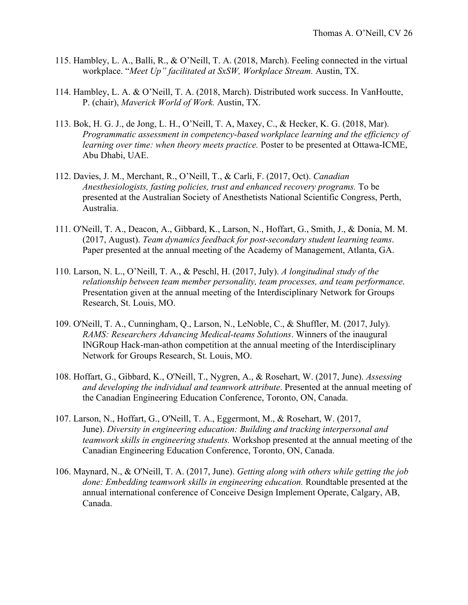- 115. Hambley, L. A., Balli, R., & O'Neill, T. A. (2018, March). Feeling connected in the virtual workplace. "*Meet Up" facilitated at SxSW, Workplace Stream.* Austin, TX.
- 114. Hambley, L. A. & O'Neill, T. A. (2018, March). Distributed work success. In VanHoutte, P. (chair), *Maverick World of Work.* Austin, TX.
- 113. Bok, H. G. J., de Jong, L. H., O'Neill, T. A, Maxey, C., & Hecker, K. G. (2018, Mar). *Programmatic assessment in competency-based workplace learning and the efficiency of learning over time: when theory meets practice.* Poster to be presented at Ottawa-ICME, Abu Dhabi, UAE.
- 112. Davies, J. M., Merchant, R., O'Neill, T., & Carli, F. (2017, Oct). *Canadian Anesthesiologists, fasting policies, trust and enhanced recovery programs.* To be presented at the Australian Society of Anesthetists National Scientific Congress, Perth, Australia.
- 111. O'Neill, T. A., Deacon, A., Gibbard, K., Larson, N., Hoffart, G., Smith, J., & Donia, M. M. (2017, August). *Team dynamics feedback for post-secondary student learning teams*. Paper presented at the annual meeting of the Academy of Management, Atlanta, GA.
- 110. Larson, N. L., O'Neill, T. A., & Peschl, H. (2017, July). *A longitudinal study of the relationship between team member personality, team processes, and team performance*. Presentation given at the annual meeting of the Interdisciplinary Network for Groups Research, St. Louis, MO.
- 109. O'Neill, T. A., Cunningham, Q., Larson, N., LeNoble, C., & Shuffler, M. (2017, July). *RAMS: Researchers Advancing Medical-teams Solutions*. Winners of the inaugural INGRoup Hack-man-athon competition at the annual meeting of the Interdisciplinary Network for Groups Research, St. Louis, MO.
- 108. Hoffart, G., Gibbard, K., O'Neill, T., Nygren, A., & Rosehart, W. (2017, June). *Assessing and developing the individual and teamwork attribute*. Presented at the annual meeting of the Canadian Engineering Education Conference, Toronto, ON, Canada.
- 107. Larson, N., Hoffart, G., O'Neill, T. A., Eggermont, M., & Rosehart, W. (2017, June). *Diversity in engineering education: Building and tracking interpersonal and teamwork skills in engineering students.* Workshop presented at the annual meeting of the Canadian Engineering Education Conference, Toronto, ON, Canada.
- 106. Maynard, N., & O'Neill, T. A. (2017, June). *Getting along with others while getting the job done: Embedding teamwork skills in engineering education.* Roundtable presented at the annual international conference of Conceive Design Implement Operate, Calgary, AB, Canada.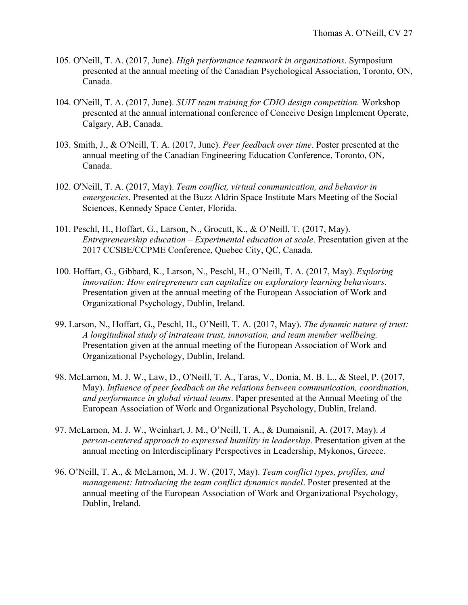- 105. O'Neill, T. A. (2017, June). *High performance teamwork in organizations*. Symposium presented at the annual meeting of the Canadian Psychological Association, Toronto, ON, Canada.
- 104. O'Neill, T. A. (2017, June). *SUIT team training for CDIO design competition.* Workshop presented at the annual international conference of Conceive Design Implement Operate, Calgary, AB, Canada.
- 103. Smith, J., & O'Neill, T. A. (2017, June). *Peer feedback over time*. Poster presented at the annual meeting of the Canadian Engineering Education Conference, Toronto, ON, Canada.
- 102. O'Neill, T. A. (2017, May). *Team conflict, virtual communication, and behavior in emergencies*. Presented at the Buzz Aldrin Space Institute Mars Meeting of the Social Sciences, Kennedy Space Center, Florida.
- 101. Peschl, H., Hoffart, G., Larson, N., Grocutt, K., & O'Neill, T. (2017, May). *Entrepreneurship education – Experimental education at scale*. Presentation given at the 2017 CCSBE/CCPME Conference, Quebec City, QC, Canada.
- 100. Hoffart, G., Gibbard, K., Larson, N., Peschl, H., O'Neill, T. A. (2017, May). *Exploring innovation: How entrepreneurs can capitalize on exploratory learning behaviours.* Presentation given at the annual meeting of the European Association of Work and Organizational Psychology, Dublin, Ireland.
- 99. Larson, N., Hoffart, G., Peschl, H., O'Neill, T. A. (2017, May). *The dynamic nature of trust: A longitudinal study of intrateam trust, innovation, and team member wellbeing.* Presentation given at the annual meeting of the European Association of Work and Organizational Psychology, Dublin, Ireland.
- 98. McLarnon, M. J. W., Law, D., O'Neill, T. A., Taras, V., Donia, M. B. L., & Steel, P. (2017, May). *Influence of peer feedback on the relations between communication, coordination, and performance in global virtual teams*. Paper presented at the Annual Meeting of the European Association of Work and Organizational Psychology, Dublin, Ireland.
- 97. McLarnon, M. J. W., Weinhart, J. M., O'Neill, T. A., & Dumaisnil, A. (2017, May). *A person-centered approach to expressed humility in leadership*. Presentation given at the annual meeting on Interdisciplinary Perspectives in Leadership, Mykonos, Greece.
- 96. O'Neill, T. A., & McLarnon, M. J. W. (2017, May). *Team conflict types, profiles, and management: Introducing the team conflict dynamics model*. Poster presented at the annual meeting of the European Association of Work and Organizational Psychology, Dublin, Ireland.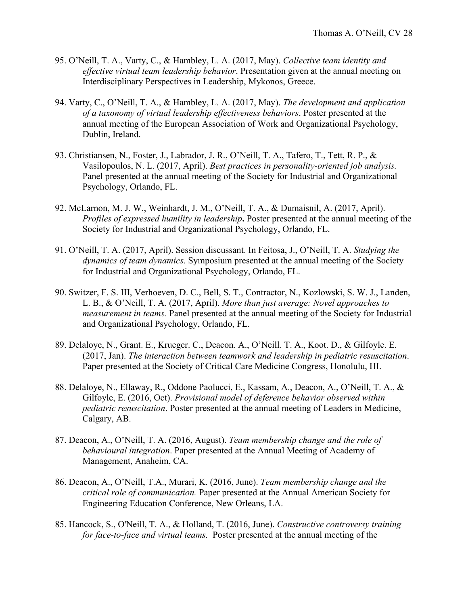- 95. O'Neill, T. A., Varty, C., & Hambley, L. A. (2017, May). *Collective team identity and effective virtual team leadership behavior*. Presentation given at the annual meeting on Interdisciplinary Perspectives in Leadership, Mykonos, Greece.
- 94. Varty, C., O'Neill, T. A., & Hambley, L. A. (2017, May). *The development and application of a taxonomy of virtual leadership effectiveness behaviors*. Poster presented at the annual meeting of the European Association of Work and Organizational Psychology, Dublin, Ireland.
- 93. Christiansen, N., Foster, J., Labrador, J. R., O'Neill, T. A., Tafero, T., Tett, R. P., & Vasilopoulos, N. L. (2017, April). *Best practices in personality-oriented job analysis.* Panel presented at the annual meeting of the Society for Industrial and Organizational Psychology, Orlando, FL.
- 92. McLarnon, M. J. W., Weinhardt, J. M., O'Neill, T. A., & Dumaisnil, A. (2017, April). *Profiles of expressed humility in leadership***.** Poster presented at the annual meeting of the Society for Industrial and Organizational Psychology, Orlando, FL.
- 91. O'Neill, T. A. (2017, April). Session discussant. In Feitosa, J., O'Neill, T. A. *Studying the dynamics of team dynamics*. Symposium presented at the annual meeting of the Society for Industrial and Organizational Psychology, Orlando, FL.
- 90. Switzer, F. S. III, Verhoeven, D. C., Bell, S. T., Contractor, N., Kozlowski, S. W. J., Landen, L. B., & O'Neill, T. A. (2017, April). *More than just average: Novel approaches to measurement in teams.* Panel presented at the annual meeting of the Society for Industrial and Organizational Psychology, Orlando, FL.
- 89. Delaloye, N., Grant. E., Krueger. C., Deacon. A., O'Neill. T. A., Koot. D., & Gilfoyle. E. (2017, Jan). *The interaction between teamwork and leadership in pediatric resuscitation*. Paper presented at the Society of Critical Care Medicine Congress, Honolulu, HI.
- 88. Delaloye, N., Ellaway, R., Oddone Paolucci, E., Kassam, A., Deacon, A., O'Neill, T. A., & Gilfoyle, E. (2016, Oct). *Provisional model of deference behavior observed within pediatric resuscitation*. Poster presented at the annual meeting of Leaders in Medicine, Calgary, AB.
- 87. Deacon, A., O'Neill, T. A. (2016, August). *Team membership change and the role of behavioural integration*. Paper presented at the Annual Meeting of Academy of Management, Anaheim, CA.
- 86. Deacon, A., O'Neill, T.A., Murari, K. (2016, June). *Team membership change and the critical role of communication.* Paper presented at the Annual American Society for Engineering Education Conference, New Orleans, LA.
- 85. Hancock, S., O'Neill, T. A., & Holland, T. (2016, June). *Constructive controversy training for face-to-face and virtual teams.* Poster presented at the annual meeting of the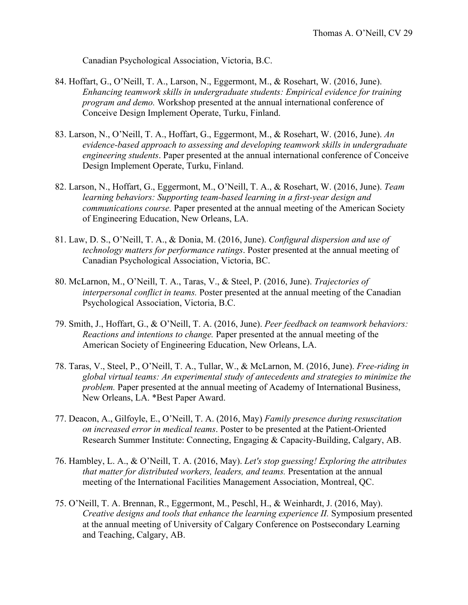Canadian Psychological Association, Victoria, B.C.

- 84. Hoffart, G., O'Neill, T. A., Larson, N., Eggermont, M., & Rosehart, W. (2016, June). *Enhancing teamwork skills in undergraduate students: Empirical evidence for training program and demo.* Workshop presented at the annual international conference of Conceive Design Implement Operate, Turku, Finland.
- 83. Larson, N., O'Neill, T. A., Hoffart, G., Eggermont, M., & Rosehart, W. (2016, June). *An evidence-based approach to assessing and developing teamwork skills in undergraduate engineering students*. Paper presented at the annual international conference of Conceive Design Implement Operate, Turku, Finland.
- 82. Larson, N., Hoffart, G., Eggermont, M., O'Neill, T. A., & Rosehart, W. (2016, June). *Team learning behaviors: Supporting team-based learning in a first-year design and communications course.* Paper presented at the annual meeting of the American Society of Engineering Education, New Orleans, LA.
- 81. Law, D. S., O'Neill, T. A., & Donia, M. (2016, June). *Configural dispersion and use of technology matters for performance ratings*. Poster presented at the annual meeting of Canadian Psychological Association, Victoria, BC.
- 80. McLarnon, M., O'Neill, T. A., Taras, V., & Steel, P. (2016, June). *Trajectories of interpersonal conflict in teams.* Poster presented at the annual meeting of the Canadian Psychological Association, Victoria, B.C.
- 79. Smith, J., Hoffart, G., & O'Neill, T. A. (2016, June). *Peer feedback on teamwork behaviors: Reactions and intentions to change.* Paper presented at the annual meeting of the American Society of Engineering Education, New Orleans, LA.
- 78. Taras, V., Steel, P., O'Neill, T. A., Tullar, W., & McLarnon, M. (2016, June). *Free-riding in global virtual teams: An experimental study of antecedents and strategies to minimize the problem.* Paper presented at the annual meeting of Academy of International Business, New Orleans, LA. \*Best Paper Award.
- 77. Deacon, A., Gilfoyle, E., O'Neill, T. A. (2016, May) *Family presence during resuscitation on increased error in medical teams*. Poster to be presented at the Patient-Oriented Research Summer Institute: Connecting, Engaging & Capacity-Building, Calgary, AB.
- 76. Hambley, L. A., & O'Neill, T. A. (2016, May). *Let's stop guessing! Exploring the attributes that matter for distributed workers, leaders, and teams.* Presentation at the annual meeting of the International Facilities Management Association, Montreal, QC.
- 75. O'Neill, T. A. Brennan, R., Eggermont, M., Peschl, H., & Weinhardt, J. (2016, May). *Creative designs and tools that enhance the learning experience II.* Symposium presented at the annual meeting of University of Calgary Conference on Postsecondary Learning and Teaching, Calgary, AB.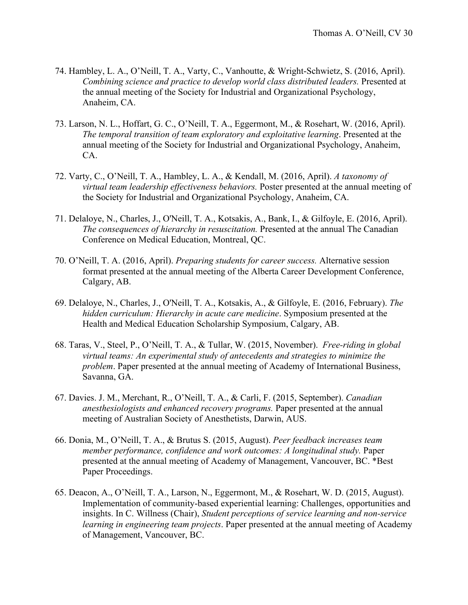- 74. Hambley, L. A., O'Neill, T. A., Varty, C., Vanhoutte, & Wright-Schwietz, S. (2016, April). *Combining science and practice to develop world class distributed leaders.* Presented at the annual meeting of the Society for Industrial and Organizational Psychology, Anaheim, CA.
- 73. Larson, N. L., Hoffart, G. C., O'Neill, T. A., Eggermont, M., & Rosehart, W. (2016, April). *The temporal transition of team exploratory and exploitative learning*. Presented at the annual meeting of the Society for Industrial and Organizational Psychology, Anaheim, CA.
- 72. Varty, C., O'Neill, T. A., Hambley, L. A., & Kendall, M. (2016, April). *A taxonomy of virtual team leadership effectiveness behaviors.* Poster presented at the annual meeting of the Society for Industrial and Organizational Psychology, Anaheim, CA.
- 71. Delaloye, N., Charles, J., O'Neill, T. A., Kotsakis, A., Bank, I., & Gilfoyle, E. (2016, April). *The consequences of hierarchy in resuscitation.* Presented at the annual The Canadian Conference on Medical Education, Montreal, QC.
- 70. O'Neill, T. A. (2016, April). *Preparing students for career success.* Alternative session format presented at the annual meeting of the Alberta Career Development Conference, Calgary, AB.
- 69. Delaloye, N., Charles, J., O'Neill, T. A., Kotsakis, A., & Gilfoyle, E. (2016, February). *The hidden curriculum: Hierarchy in acute care medicine*. Symposium presented at the Health and Medical Education Scholarship Symposium, Calgary, AB.
- 68. Taras, V., Steel, P., O'Neill, T. A., & Tullar, W. (2015, November). *Free-riding in global virtual teams: An experimental study of antecedents and strategies to minimize the problem*. Paper presented at the annual meeting of Academy of International Business, Savanna, GA.
- 67. Davies. J. M., Merchant, R., O'Neill, T. A., & Carli, F. (2015, September). *Canadian anesthesiologists and enhanced recovery programs.* Paper presented at the annual meeting of Australian Society of Anesthetists, Darwin, AUS.
- 66. Donia, M., O'Neill, T. A., & Brutus S. (2015, August). *Peer feedback increases team member performance, confidence and work outcomes: A longitudinal study.* Paper presented at the annual meeting of Academy of Management, Vancouver, BC. \*Best Paper Proceedings.
- 65. Deacon, A., O'Neill, T. A., Larson, N., Eggermont, M., & Rosehart, W. D. (2015, August). Implementation of community-based experiential learning: Challenges, opportunities and insights. In C. Willness (Chair), *Student perceptions of service learning and non-service learning in engineering team projects*. Paper presented at the annual meeting of Academy of Management, Vancouver, BC.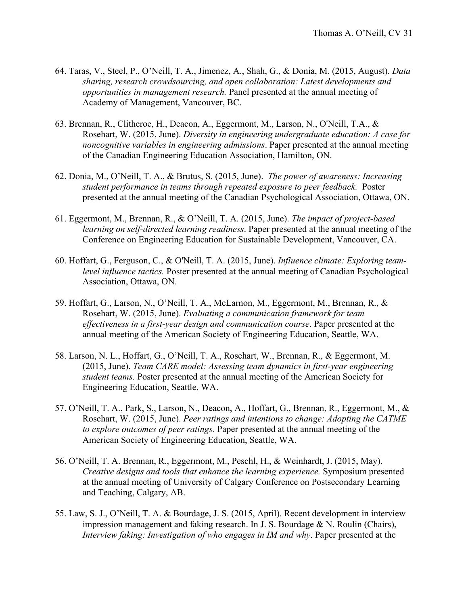- 64. Taras, V., Steel, P., O'Neill, T. A., Jimenez, A., Shah, G., & Donia, M. (2015, August). *Data sharing, research crowdsourcing, and open collaboration: Latest developments and opportunities in management research.* Panel presented at the annual meeting of Academy of Management, Vancouver, BC.
- 63. Brennan, R., Clitheroe, H., Deacon, A., Eggermont, M., Larson, N., O'Neill, T.A., & Rosehart, W. (2015, June). *Diversity in engineering undergraduate education: A case for noncognitive variables in engineering admissions*. Paper presented at the annual meeting of the Canadian Engineering Education Association, Hamilton, ON.
- 62. Donia, M., O'Neill, T. A., & Brutus, S. (2015, June). *The power of awareness: Increasing student performance in teams through repeated exposure to peer feedback.* Poster presented at the annual meeting of the Canadian Psychological Association, Ottawa, ON.
- 61. Eggermont, M., Brennan, R., & O'Neill, T. A. (2015, June). *The impact of project-based learning on self-directed learning readiness*. Paper presented at the annual meeting of the Conference on Engineering Education for Sustainable Development, Vancouver, CA.
- 60. Hoffart, G., Ferguson, C., & O'Neill, T. A. (2015, June). *Influence climate: Exploring teamlevel influence tactics.* Poster presented at the annual meeting of Canadian Psychological Association, Ottawa, ON.
- 59. Hoffart, G., Larson, N., O'Neill, T. A., McLarnon, M., Eggermont, M., Brennan, R., & Rosehart, W. (2015, June). *Evaluating a communication framework for team effectiveness in a first-year design and communication course*. Paper presented at the annual meeting of the American Society of Engineering Education, Seattle, WA.
- 58. Larson, N. L., Hoffart, G., O'Neill, T. A., Rosehart, W., Brennan, R., & Eggermont, M. (2015, June). *Team CARE model: Assessing team dynamics in first-year engineering student teams.* Poster presented at the annual meeting of the American Society for Engineering Education, Seattle, WA.
- 57. O'Neill, T. A., Park, S., Larson, N., Deacon, A., Hoffart, G., Brennan, R., Eggermont, M., & Rosehart, W. (2015, June). *Peer ratings and intentions to change: Adopting the CATME to explore outcomes of peer ratings*. Paper presented at the annual meeting of the American Society of Engineering Education, Seattle, WA.
- 56. O'Neill, T. A. Brennan, R., Eggermont, M., Peschl, H., & Weinhardt, J. (2015, May). *Creative designs and tools that enhance the learning experience.* Symposium presented at the annual meeting of University of Calgary Conference on Postsecondary Learning and Teaching, Calgary, AB.
- 55. Law, S. J., O'Neill, T. A. & Bourdage, J. S. (2015, April). Recent development in interview impression management and faking research. In J. S. Bourdage  $& N$ . Roulin (Chairs), *Interview faking: Investigation of who engages in IM and why*. Paper presented at the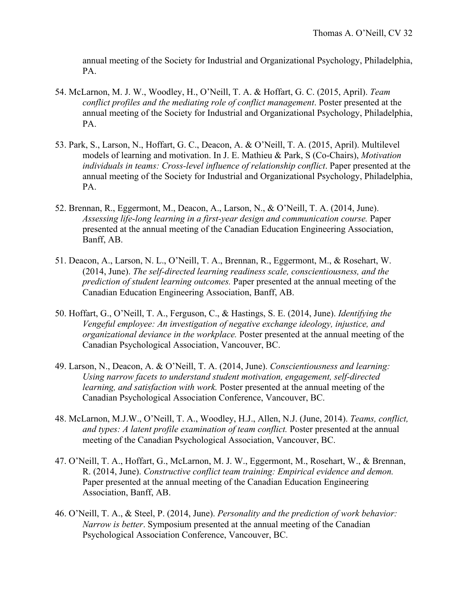annual meeting of the Society for Industrial and Organizational Psychology, Philadelphia, PA.

- 54. McLarnon, M. J. W., Woodley, H., O'Neill, T. A. & Hoffart, G. C. (2015, April). *Team conflict profiles and the mediating role of conflict management*. Poster presented at the annual meeting of the Society for Industrial and Organizational Psychology, Philadelphia, PA.
- 53. Park, S., Larson, N., Hoffart, G. C., Deacon, A. & O'Neill, T. A. (2015, April). Multilevel models of learning and motivation. In J. E. Mathieu & Park, S (Co-Chairs), *Motivation individuals in teams: Cross-level influence of relationship conflict*. Paper presented at the annual meeting of the Society for Industrial and Organizational Psychology, Philadelphia, PA.
- 52. Brennan, R., Eggermont, M., Deacon, A., Larson, N., & O'Neill, T. A. (2014, June). *Assessing life-long learning in a first-year design and communication course.* Paper presented at the annual meeting of the Canadian Education Engineering Association, Banff, AB.
- 51. Deacon, A., Larson, N. L., O'Neill, T. A., Brennan, R., Eggermont, M., & Rosehart, W. (2014, June). *The self-directed learning readiness scale, conscientiousness, and the prediction of student learning outcomes.* Paper presented at the annual meeting of the Canadian Education Engineering Association, Banff, AB.
- 50. Hoffart, G., O'Neill, T. A., Ferguson, C., & Hastings, S. E. (2014, June). *Identifying the Vengeful employee: An investigation of negative exchange ideology, injustice, and organizational deviance in the workplace.* Poster presented at the annual meeting of the Canadian Psychological Association, Vancouver, BC.
- 49. Larson, N., Deacon, A. & O'Neill, T. A. (2014, June). *Conscientiousness and learning: Using narrow facets to understand student motivation, engagement, self-directed learning, and satisfaction with work.* Poster presented at the annual meeting of the Canadian Psychological Association Conference, Vancouver, BC.
- 48. McLarnon, M.J.W., O'Neill, T. A., Woodley, H.J., Allen, N.J. (June, 2014). *Teams, conflict, and types: A latent profile examination of team conflict.* Poster presented at the annual meeting of the Canadian Psychological Association, Vancouver, BC.
- 47. O'Neill, T. A., Hoffart, G., McLarnon, M. J. W., Eggermont, M., Rosehart, W., & Brennan, R. (2014, June). *Constructive conflict team training: Empirical evidence and demon.*  Paper presented at the annual meeting of the Canadian Education Engineering Association, Banff, AB.
- 46. O'Neill, T. A., & Steel, P. (2014, June). *Personality and the prediction of work behavior: Narrow is better*. Symposium presented at the annual meeting of the Canadian Psychological Association Conference, Vancouver, BC.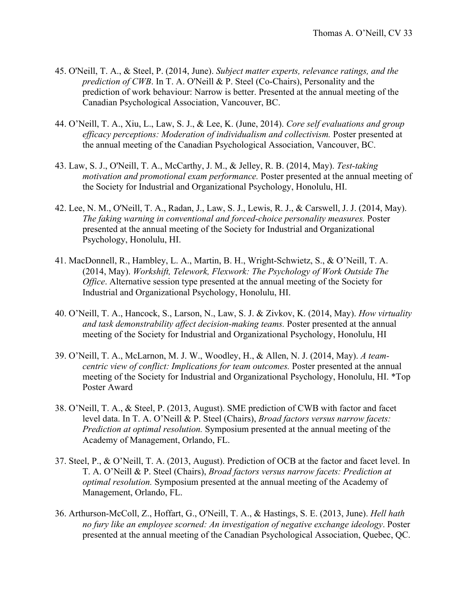- 45. O'Neill, T. A., & Steel, P. (2014, June). *Subject matter experts, relevance ratings, and the prediction of CWB*. In T. A. O'Neill & P. Steel (Co-Chairs), Personality and the prediction of work behaviour: Narrow is better. Presented at the annual meeting of the Canadian Psychological Association, Vancouver, BC.
- 44. O'Neill, T. A., Xiu, L., Law, S. J., & Lee, K. (June, 2014). *Core self evaluations and group*  efficacy perceptions: Moderation of individualism and collectivism. Poster presented at the annual meeting of the Canadian Psychological Association, Vancouver, BC.
- 43. Law, S. J., O'Neill, T. A., McCarthy, J. M., & Jelley, R. B. (2014, May). *Test-taking motivation and promotional exam performance.* Poster presented at the annual meeting of the Society for Industrial and Organizational Psychology, Honolulu, HI.
- 42. Lee, N. M., O'Neill, T. A., Radan, J., Law, S. J., Lewis, R. J., & Carswell, J. J. (2014, May). *The faking warning in conventional and forced-choice personality measures.* Poster presented at the annual meeting of the Society for Industrial and Organizational Psychology, Honolulu, HI.
- 41. MacDonnell, R., Hambley, L. A., Martin, B. H., Wright-Schwietz, S., & O'Neill, T. A. (2014, May). *Workshift, Telework, Flexwork: The Psychology of Work Outside The Office*. Alternative session type presented at the annual meeting of the Society for Industrial and Organizational Psychology, Honolulu, HI.
- 40. O'Neill, T. A., Hancock, S., Larson, N., Law, S. J. & Zivkov, K. (2014, May). *How virtuality and task demonstrability affect decision-making teams.* Poster presented at the annual meeting of the Society for Industrial and Organizational Psychology, Honolulu, HI
- 39. O'Neill, T. A., McLarnon, M. J. W., Woodley, H., & Allen, N. J. (2014, May). *A teamcentric view of conflict: Implications for team outcomes.* Poster presented at the annual meeting of the Society for Industrial and Organizational Psychology, Honolulu, HI. \*Top Poster Award
- 38. O'Neill, T. A., & Steel, P. (2013, August). SME prediction of CWB with factor and facet level data. In T. A. O'Neill & P. Steel (Chairs), *Broad factors versus narrow facets: Prediction at optimal resolution.* Symposium presented at the annual meeting of the Academy of Management, Orlando, FL.
- 37. Steel, P., & O'Neill, T. A. (2013, August). Prediction of OCB at the factor and facet level. In T. A. O'Neill & P. Steel (Chairs), *Broad factors versus narrow facets: Prediction at optimal resolution.* Symposium presented at the annual meeting of the Academy of Management, Orlando, FL.
- 36. Arthurson-McColl, Z., Hoffart, G., O'Neill, T. A., & Hastings, S. E. (2013, June). *Hell hath no fury like an employee scorned: An investigation of negative exchange ideology*. Poster presented at the annual meeting of the Canadian Psychological Association, Quebec, QC.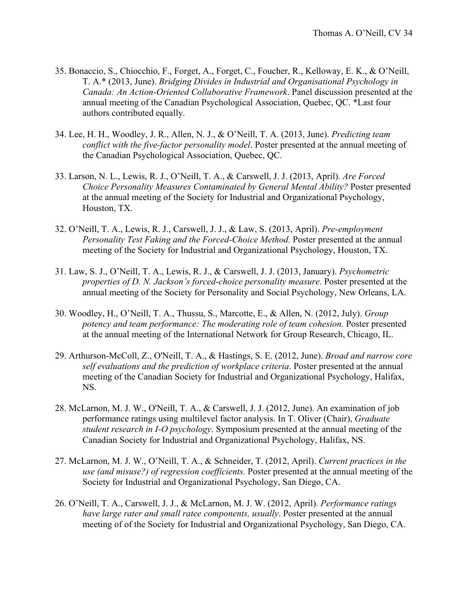- 35. Bonaccio, S., Chiocchio, F., Forget, A., Forget, C., Foucher, R., Kelloway, E. K., & O'Neill, T. A.\* (2013, June). *Bridging Divides in Industrial and Organisational Psychology in Canada: An Action-Oriented Collaborative Framework*. Panel discussion presented at the annual meeting of the Canadian Psychological Association, Quebec, QC. \*Last four authors contributed equally.
- 34. Lee, H. H., Woodley, J. R., Allen, N. J., & O'Neill, T. A. (2013, June). *Predicting team conflict with the five-factor personality model*. Poster presented at the annual meeting of the Canadian Psychological Association, Quebec, QC.
- 33. Larson, N. L., Lewis, R. J., O'Neill, T. A., & Carswell, J. J. (2013, April). *Are Forced Choice Personality Measures Contaminated by General Mental Ability?* Poster presented at the annual meeting of the Society for Industrial and Organizational Psychology, Houston, TX.
- 32. O'Neill, T. A., Lewis, R. J., Carswell, J. J., & Law, S. (2013, April). *Pre-employment Personality Test Faking and the Forced-Choice Method.* Poster presented at the annual meeting of the Society for Industrial and Organizational Psychology, Houston, TX.
- 31. Law, S. J., O'Neill, T. A., Lewis, R. J., & Carswell, J. J. (2013, January). *Psychometric properties of D. N. Jackson's forced-choice personality measure*. Poster presented at the annual meeting of the Society for Personality and Social Psychology, New Orleans, LA.
- 30. Woodley, H., O'Neill, T. A., Thussu, S., Marcotte, E., & Allen, N. (2012, July). *Group potency and team performance: The moderating role of team cohesion*. Poster presented at the annual meeting of the International Network for Group Research, Chicago, IL.
- 29. Arthurson-McColl, Z., O'Neill, T. A., & Hastings, S. E. (2012, June). *Broad and narrow core self evaluations and the prediction of workplace criteria*. Poster presented at the annual meeting of the Canadian Society for Industrial and Organizational Psychology, Halifax, NS.
- 28. McLarnon, M. J. W., O'Neill, T. A., & Carswell, J. J. (2012, June). An examination of job performance ratings using multilevel factor analysis. In T. Oliver (Chair), *Graduate student research in I-O psychology*. Symposium presented at the annual meeting of the Canadian Society for Industrial and Organizational Psychology, Halifax, NS.
- 27. McLarnon, M. J. W., O'Neill, T. A., & Schneider, T. (2012, April). *Current practices in the use (and misuse?) of regression coefficients.* Poster presented at the annual meeting of the Society for Industrial and Organizational Psychology, San Diego, CA.
- 26. O'Neill, T. A., Carswell, J. J., & McLarnon, M. J. W. (2012, April). *Performance ratings have large rater and small ratee components, usually*. Poster presented at the annual meeting of of the Society for Industrial and Organizational Psychology, San Diego, CA.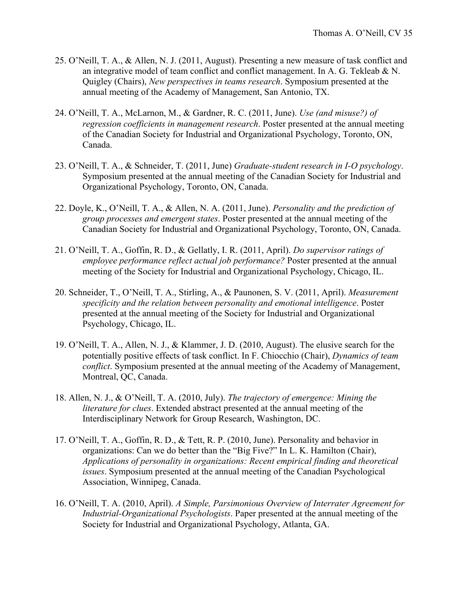- 25. O'Neill, T. A., & Allen, N. J. (2011, August). Presenting a new measure of task conflict and an integrative model of team conflict and conflict management. In A. G. Tekleab  $&N$ . Quigley (Chairs), *New perspectives in teams research*. Symposium presented at the annual meeting of the Academy of Management, San Antonio, TX.
- 24. O'Neill, T. A., McLarnon, M., & Gardner, R. C. (2011, June). *Use (and misuse?) of regression coefficients in management research*. Poster presented at the annual meeting of the Canadian Society for Industrial and Organizational Psychology, Toronto, ON, Canada.
- 23. O'Neill, T. A., & Schneider, T. (2011, June) *Graduate-student research in I-O psychology*. Symposium presented at the annual meeting of the Canadian Society for Industrial and Organizational Psychology, Toronto, ON, Canada.
- 22. Doyle, K., O'Neill, T. A., & Allen, N. A. (2011, June). *Personality and the prediction of group processes and emergent states*. Poster presented at the annual meeting of the Canadian Society for Industrial and Organizational Psychology, Toronto, ON, Canada.
- 21. O'Neill, T. A., Goffin, R. D., & Gellatly, I. R. (2011, April). *Do supervisor ratings of employee performance reflect actual job performance?* Poster presented at the annual meeting of the Society for Industrial and Organizational Psychology, Chicago, IL.
- 20. Schneider, T., O'Neill, T. A., Stirling, A., & Paunonen, S. V. (2011, April). *Measurement specificity and the relation between personality and emotional intelligence*. Poster presented at the annual meeting of the Society for Industrial and Organizational Psychology, Chicago, IL.
- 19. O'Neill, T. A., Allen, N. J., & Klammer, J. D. (2010, August). The elusive search for the potentially positive effects of task conflict. In F. Chiocchio (Chair), *Dynamics of team conflict*. Symposium presented at the annual meeting of the Academy of Management, Montreal, QC, Canada.
- 18. Allen, N. J., & O'Neill, T. A. (2010, July). *The trajectory of emergence: Mining the literature for clues*. Extended abstract presented at the annual meeting of the Interdisciplinary Network for Group Research, Washington, DC.
- 17. O'Neill, T. A., Goffin, R. D., & Tett, R. P. (2010, June). Personality and behavior in organizations: Can we do better than the "Big Five?" In L. K. Hamilton (Chair), *Applications of personality in organizations: Recent empirical finding and theoretical issues*. Symposium presented at the annual meeting of the Canadian Psychological Association, Winnipeg, Canada.
- 16. O'Neill, T. A. (2010, April). *A Simple, Parsimonious Overview of Interrater Agreement for Industrial-Organizational Psychologists*. Paper presented at the annual meeting of the Society for Industrial and Organizational Psychology, Atlanta, GA.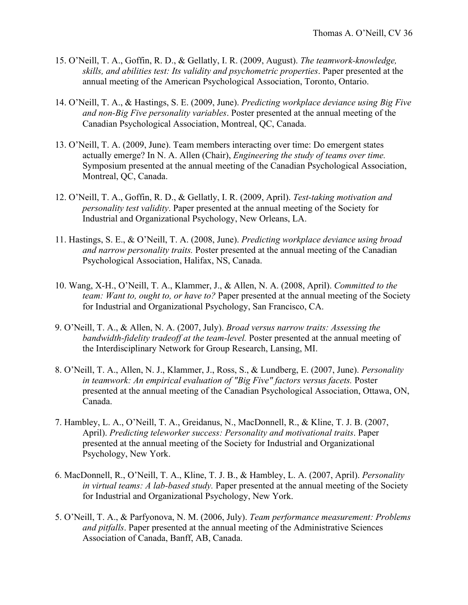- 15. O'Neill, T. A., Goffin, R. D., & Gellatly, I. R. (2009, August). *The teamwork-knowledge, skills, and abilities test: Its validity and psychometric properties*. Paper presented at the annual meeting of the American Psychological Association, Toronto, Ontario.
- 14. O'Neill, T. A., & Hastings, S. E. (2009, June). *Predicting workplace deviance using Big Five and non-Big Five personality variables*. Poster presented at the annual meeting of the Canadian Psychological Association, Montreal, QC, Canada.
- 13. O'Neill, T. A. (2009, June). Team members interacting over time: Do emergent states actually emerge? In N. A. Allen (Chair), *Engineering the study of teams over time.* Symposium presented at the annual meeting of the Canadian Psychological Association, Montreal, QC, Canada.
- 12. O'Neill, T. A., Goffin, R. D., & Gellatly, I. R. (2009, April). *Test-taking motivation and personality test validity*. Paper presented at the annual meeting of the Society for Industrial and Organizational Psychology, New Orleans, LA.
- 11. Hastings, S. E., & O'Neill, T. A. (2008, June). *Predicting workplace deviance using broad and narrow personality traits.* Poster presented at the annual meeting of the Canadian Psychological Association, Halifax, NS, Canada.
- 10. Wang, X-H., O'Neill, T. A., Klammer, J., & Allen, N. A. (2008, April). *Committed to the team: Want to, ought to, or have to?* Paper presented at the annual meeting of the Society for Industrial and Organizational Psychology, San Francisco, CA.
- 9. O'Neill, T. A., & Allen, N. A. (2007, July). *Broad versus narrow traits: Assessing the bandwidth-fidelity tradeoff at the team-level.* Poster presented at the annual meeting of the Interdisciplinary Network for Group Research, Lansing, MI.
- 8. O'Neill, T. A., Allen, N. J., Klammer, J., Ross, S., & Lundberg, E. (2007, June). *Personality in teamwork: An empirical evaluation of "Big Five" factors versus facets.* Poster presented at the annual meeting of the Canadian Psychological Association, Ottawa, ON, Canada.
- 7. Hambley, L. A., O'Neill, T. A., Greidanus, N., MacDonnell, R., & Kline, T. J. B. (2007, April). *Predicting teleworker success: Personality and motivational traits*. Paper presented at the annual meeting of the Society for Industrial and Organizational Psychology, New York.
- 6. MacDonnell, R., O'Neill, T. A., Kline, T. J. B., & Hambley, L. A. (2007, April). *Personality in virtual teams: A lab-based study.* Paper presented at the annual meeting of the Society for Industrial and Organizational Psychology, New York.
- 5. O'Neill, T. A., & Parfyonova, N. M. (2006, July). *Team performance measurement: Problems and pitfalls*. Paper presented at the annual meeting of the Administrative Sciences Association of Canada, Banff, AB, Canada.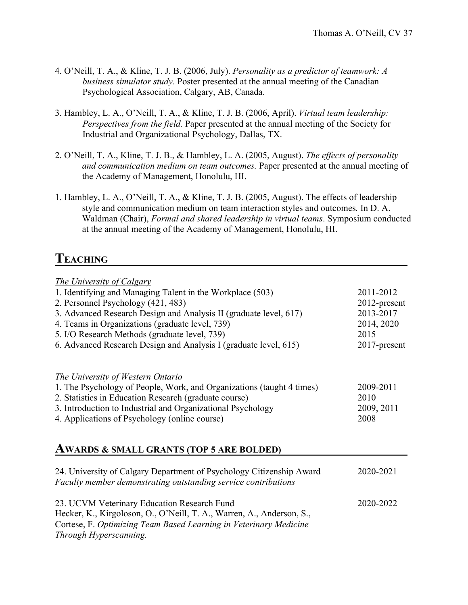- 4. O'Neill, T. A., & Kline, T. J. B. (2006, July). *Personality as a predictor of teamwork: A business simulator study*. Poster presented at the annual meeting of the Canadian Psychological Association, Calgary, AB, Canada.
- 3. Hambley, L. A., O'Neill, T. A., & Kline, T. J. B. (2006, April). *Virtual team leadership: Perspectives from the field.* Paper presented at the annual meeting of the Society for Industrial and Organizational Psychology, Dallas, TX.
- 2. O'Neill, T. A., Kline, T. J. B., & Hambley, L. A. (2005, August). *The effects of personality and communication medium on team outcomes.* Paper presented at the annual meeting of the Academy of Management, Honolulu, HI.
- 1. Hambley, L. A., O'Neill, T. A., & Kline, T. J. B. (2005, August). The effects of leadership style and communication medium on team interaction styles and outcomes*.* In D. A. Waldman (Chair), *Formal and shared leadership in virtual teams*. Symposium conducted at the annual meeting of the Academy of Management, Honolulu, HI.

# **TEACHING**

| The University of Calgary<br>1. Identifying and Managing Talent in the Workplace (503)<br>2. Personnel Psychology (421, 483)<br>3. Advanced Research Design and Analysis II (graduate level, 617)<br>4. Teams in Organizations (graduate level, 739)<br>5. I/O Research Methods (graduate level, 739)<br>6. Advanced Research Design and Analysis I (graduate level, 615) | 2011-2012<br>2012-present<br>2013-2017<br>2014, 2020<br>2015<br>2017-present |
|---------------------------------------------------------------------------------------------------------------------------------------------------------------------------------------------------------------------------------------------------------------------------------------------------------------------------------------------------------------------------|------------------------------------------------------------------------------|
| The University of Western Ontario<br>1. The Psychology of People, Work, and Organizations (taught 4 times)<br>2. Statistics in Education Research (graduate course)<br>3. Introduction to Industrial and Organizational Psychology<br>4. Applications of Psychology (online course)                                                                                       | 2009-2011<br>2010<br>2009, 2011<br>2008                                      |

#### **AWARDS & SMALL GRANTS (TOP 5 ARE BOLDED)**

| 24. University of Calgary Department of Psychology Citizenship Award<br>Faculty member demonstrating outstanding service contributions | 2020-2021 |
|----------------------------------------------------------------------------------------------------------------------------------------|-----------|
| 23. UCVM Veterinary Education Research Fund<br>Hecker, K., Kirgoloson, O., O'Neill, T. A., Warren, A., Anderson, S.,                   | 2020-2022 |
| Cortese, F. Optimizing Team Based Learning in Veterinary Medicine                                                                      |           |
| Through Hyperscanning.                                                                                                                 |           |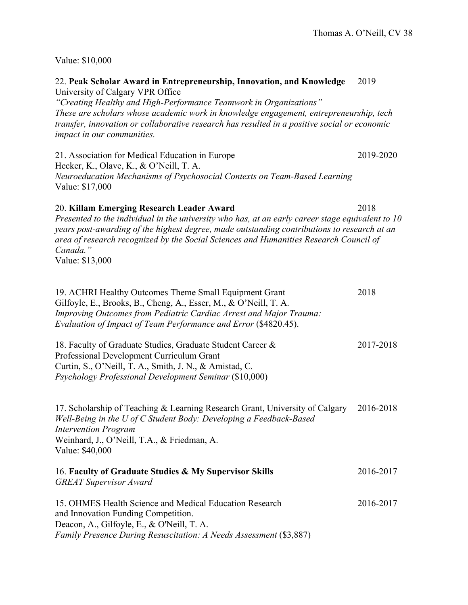Value: \$10,000

22. **Peak Scholar Award in Entrepreneurship, Innovation, and Knowledge** 2019 University of Calgary VPR Office

*"Creating Healthy and High-Performance Teamwork in Organizations" These are scholars whose academic work in knowledge engagement, entrepreneurship, tech transfer, innovation or collaborative research has resulted in a positive social or economic impact in our communities.*

21. Association for Medical Education in Europe 2019-2020 Hecker, K., Olave, K., & O'Neill, T. A. *Neuroeducation Mechanisms of Psychosocial Contexts on Team-Based Learning* Value: \$17,000

#### 20. **Killam Emerging Research Leader Award** 2018

*Presented to the individual in the university who has, at an early career stage equivalent to 10 years post-awarding of the highest degree, made outstanding contributions to research at an area of research recognized by the Social Sciences and Humanities Research Council of Canada."* Value: \$13,000

| 19. ACHRI Healthy Outcomes Theme Small Equipment Grant                                                                                 | 2018      |
|----------------------------------------------------------------------------------------------------------------------------------------|-----------|
| Gilfoyle, E., Brooks, B., Cheng, A., Esser, M., & O'Neill, T. A.<br>Improving Outcomes from Pediatric Cardiac Arrest and Major Trauma: |           |
| Evaluation of Impact of Team Performance and Error (\$4820.45).                                                                        |           |
| 18. Faculty of Graduate Studies, Graduate Student Career &                                                                             | 2017-2018 |
| Professional Development Curriculum Grant                                                                                              |           |
| Curtin, S., O'Neill, T. A., Smith, J. N., & Amistad, C.                                                                                |           |
| Psychology Professional Development Seminar (\$10,000)                                                                                 |           |
| 17. Scholarship of Teaching & Learning Research Grant, University of Calgary                                                           | 2016-2018 |
| Well-Being in the U of C Student Body: Developing a Feedback-Based<br><b>Intervention Program</b>                                      |           |
| Weinhard, J., O'Neill, T.A., & Friedman, A.                                                                                            |           |
| Value: \$40,000                                                                                                                        |           |
| 16. Faculty of Graduate Studies & My Supervisor Skills                                                                                 | 2016-2017 |
| <b>GREAT Supervisor Award</b>                                                                                                          |           |
| 15. OHMES Health Science and Medical Education Research                                                                                | 2016-2017 |
| and Innovation Funding Competition.                                                                                                    |           |
| Deacon, A., Gilfoyle, E., & O'Neill, T. A.                                                                                             |           |

*Family Presence During Resuscitation: A Needs Assessment* (\$3,887)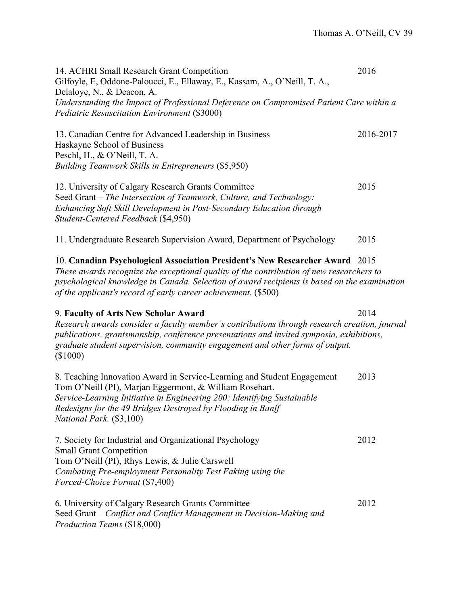14. ACHRI Small Research Grant Competition 2016 Gilfoyle, E, Oddone-Paloucci, E., Ellaway, E., Kassam, A., O'Neill, T. A., Delaloye, N., & Deacon, A. *Understanding the Impact of Professional Deference on Compromised Patient Care within a Pediatric Resuscitation Environment* (\$3000) 13. Canadian Centre for Advanced Leadership in Business 2016-2017 Haskayne School of Business Peschl, H., & O'Neill, T. A. *Building Teamwork Skills in Entrepreneurs* (\$5,950) 12. University of Calgary Research Grants Committee 2015 Seed Grant – *The Intersection of Teamwork, Culture, and Technology: Enhancing Soft Skill Development in Post-Secondary Education through Student-Centered Feedback* (\$4,950) 11. Undergraduate Research Supervision Award, Department of Psychology 2015 10. **Canadian Psychological Association President's New Researcher Award** 2015 *These awards recognize the exceptional quality of the contribution of new researchers to psychological knowledge in Canada. Selection of award recipients is based on the examination of the applicant's record of early career achievement.* (\$500) 9. **Faculty of Arts New Scholar Award** 2014 *Research awards consider a faculty member's contributions through research creation, journal publications, grantsmanship, conference presentations and invited symposia, exhibitions, graduate student supervision, community engagement and other forms of output.* (\$1000) 8. Teaching Innovation Award in Service-Learning and Student Engagement 2013 Tom O'Neill (PI), Marjan Eggermont, & William Rosehart. *Service-Learning Initiative in Engineering 200: Identifying Sustainable Redesigns for the 49 Bridges Destroyed by Flooding in Banff National Park.* (\$3,100) 7. Society for Industrial and Organizational Psychology 2012 Small Grant Competition Tom O'Neill (PI), Rhys Lewis, & Julie Carswell *Combating Pre-employment Personality Test Faking using the Forced-Choice Format* (\$7,400) 6. University of Calgary Research Grants Committee 2012 Seed Grant – *Conflict and Conflict Management in Decision-Making and Production Teams* (\$18,000)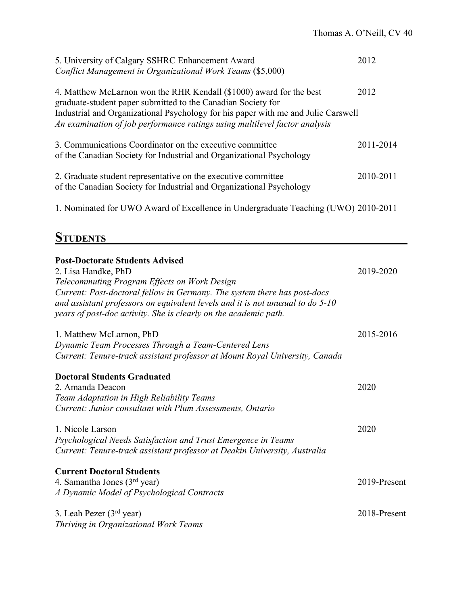| 5. University of Calgary SSHRC Enhancement Award<br>Conflict Management in Organizational Work Teams (\$5,000)                                                                                                                                                                                         | 2012      |
|--------------------------------------------------------------------------------------------------------------------------------------------------------------------------------------------------------------------------------------------------------------------------------------------------------|-----------|
| 4. Matthew McLarnon won the RHR Kendall (\$1000) award for the best<br>graduate-student paper submitted to the Canadian Society for<br>Industrial and Organizational Psychology for his paper with me and Julie Carswell<br>An examination of job performance ratings using multilevel factor analysis | 2012      |
| 3. Communications Coordinator on the executive committee<br>of the Canadian Society for Industrial and Organizational Psychology                                                                                                                                                                       | 2011-2014 |
| 2. Graduate student representative on the executive committee<br>of the Canadian Society for Industrial and Organizational Psychology                                                                                                                                                                  | 2010-2011 |
| 1. Nominated for UWO Award of Excellence in Undergraduate Teaching (UWO) 2010-2011                                                                                                                                                                                                                     |           |

# **STUDENTS**

| <b>Post-Doctorate Students Advised</b><br>2. Lisa Handke, PhD<br>Telecommuting Program Effects on Work Design<br>Current: Post-doctoral fellow in Germany. The system there has post-docs<br>and assistant professors on equivalent levels and it is not unusual to do $5$ -10<br>years of post-doc activity. She is clearly on the academic path. | 2019-2020    |
|----------------------------------------------------------------------------------------------------------------------------------------------------------------------------------------------------------------------------------------------------------------------------------------------------------------------------------------------------|--------------|
| 1. Matthew McLarnon, PhD<br>Dynamic Team Processes Through a Team-Centered Lens<br>Current: Tenure-track assistant professor at Mount Royal University, Canada                                                                                                                                                                                     | 2015-2016    |
| <b>Doctoral Students Graduated</b><br>2. Amanda Deacon<br>Team Adaptation in High Reliability Teams<br>Current: Junior consultant with Plum Assessments, Ontario                                                                                                                                                                                   | 2020         |
| 1. Nicole Larson<br>Psychological Needs Satisfaction and Trust Emergence in Teams<br>Current: Tenure-track assistant professor at Deakin University, Australia                                                                                                                                                                                     | 2020         |
| <b>Current Doctoral Students</b><br>4. Samantha Jones $(3rd$ year)<br>A Dynamic Model of Psychological Contracts                                                                                                                                                                                                                                   | 2019-Present |
| 3. Leah Pezer $(3rd$ year)<br>Thriving in Organizational Work Teams                                                                                                                                                                                                                                                                                | 2018-Present |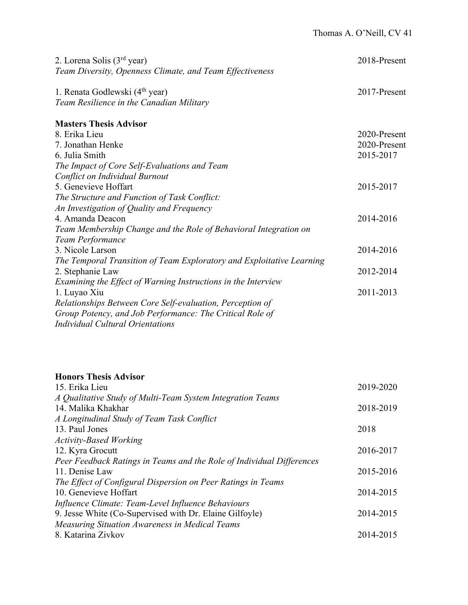| 2. Lorena Solis $(3rd$ year)<br>Team Diversity, Openness Climate, and Team Effectiveness | 2018-Present |
|------------------------------------------------------------------------------------------|--------------|
| 1. Renata Godlewski (4 <sup>th</sup> year)<br>Team Resilience in the Canadian Military   | 2017-Present |
| <b>Masters Thesis Advisor</b>                                                            |              |
| 8. Erika Lieu                                                                            | 2020-Present |
| 7. Jonathan Henke                                                                        | 2020-Present |
| 6. Julia Smith                                                                           | 2015-2017    |
| The Impact of Core Self-Evaluations and Team                                             |              |
| Conflict on Individual Burnout                                                           |              |
| 5. Genevieve Hoffart                                                                     | 2015-2017    |
| The Structure and Function of Task Conflict:                                             |              |
| An Investigation of Quality and Frequency                                                |              |
| 4. Amanda Deacon                                                                         | 2014-2016    |
| Team Membership Change and the Role of Behavioral Integration on                         |              |
| Team Performance                                                                         |              |
| 3. Nicole Larson                                                                         | 2014-2016    |
| The Temporal Transition of Team Exploratory and Exploitative Learning                    |              |
| 2. Stephanie Law                                                                         | 2012-2014    |
| Examining the Effect of Warning Instructions in the Interview                            |              |
| 1. Luyao Xiu                                                                             | 2011-2013    |
| Relationships Between Core Self-evaluation, Perception of                                |              |
| Group Potency, and Job Performance: The Critical Role of                                 |              |
| Individual Cultural Orientations                                                         |              |

#### **Honors Thesis Advisor**

| 15. Erika Lieu                                                        | 2019-2020 |
|-----------------------------------------------------------------------|-----------|
| A Qualitative Study of Multi-Team System Integration Teams            |           |
| 14. Malika Khakhar                                                    | 2018-2019 |
| A Longitudinal Study of Team Task Conflict                            |           |
| 13. Paul Jones                                                        | 2018      |
| <b>Activity-Based Working</b>                                         |           |
| 12. Kyra Grocutt                                                      | 2016-2017 |
| Peer Feedback Ratings in Teams and the Role of Individual Differences |           |
| 11. Denise Law                                                        | 2015-2016 |
| The Effect of Configural Dispersion on Peer Ratings in Teams          |           |
| 10. Genevieve Hoffart                                                 | 2014-2015 |
| Influence Climate: Team-Level Influence Behaviours                    |           |
| 9. Jesse White (Co-Supervised with Dr. Elaine Gilfoyle)               | 2014-2015 |
| <b>Measuring Situation Awareness in Medical Teams</b>                 |           |
| 8. Katarina Zivkov                                                    | 2014-2015 |
|                                                                       |           |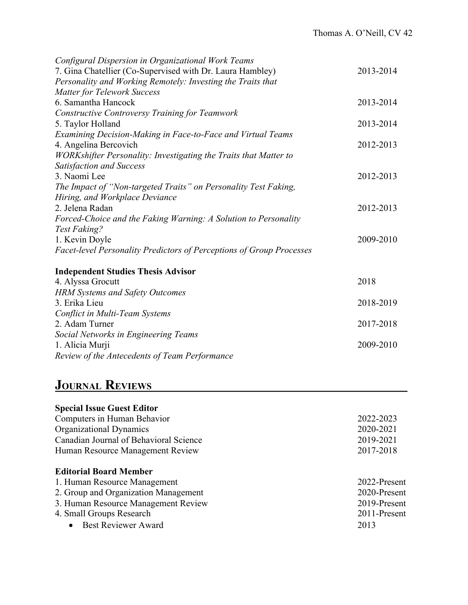| Configural Dispersion in Organizational Work Teams                   |           |
|----------------------------------------------------------------------|-----------|
| 7. Gina Chatellier (Co-Supervised with Dr. Laura Hambley)            | 2013-2014 |
| Personality and Working Remotely: Investing the Traits that          |           |
| <b>Matter for Telework Success</b>                                   |           |
| 6. Samantha Hancock                                                  | 2013-2014 |
| Constructive Controversy Training for Teamwork                       |           |
| 5. Taylor Holland                                                    | 2013-2014 |
| Examining Decision-Making in Face-to-Face and Virtual Teams          |           |
| 4. Angelina Bercovich                                                | 2012-2013 |
| WORKshifter Personality: Investigating the Traits that Matter to     |           |
| <b>Satisfaction and Success</b>                                      |           |
| 3. Naomi Lee                                                         | 2012-2013 |
| The Impact of "Non-targeted Traits" on Personality Test Faking,      |           |
| Hiring, and Workplace Deviance                                       |           |
| 2. Jelena Radan                                                      | 2012-2013 |
| Forced-Choice and the Faking Warning: A Solution to Personality      |           |
| Test Faking?                                                         |           |
| 1. Kevin Doyle                                                       | 2009-2010 |
| Facet-level Personality Predictors of Perceptions of Group Processes |           |
| <b>Independent Studies Thesis Advisor</b>                            |           |
| 4. Alyssa Grocutt                                                    | 2018      |
| <b>HRM Systems and Safety Outcomes</b>                               |           |
| 3. Erika Lieu                                                        | 2018-2019 |
| Conflict in Multi-Team Systems                                       |           |
| 2. Adam Turner                                                       | 2017-2018 |
| Social Networks in Engineering Teams                                 |           |
| 1. Alicia Murji                                                      | 2009-2010 |
|                                                                      |           |

# **JOURNAL REVIEWS**

*Review of the Antecedents of Team Performance*

| <b>Special Issue Guest Editor</b>      |              |
|----------------------------------------|--------------|
| Computers in Human Behavior            | 2022-2023    |
| Organizational Dynamics                | 2020-2021    |
| Canadian Journal of Behavioral Science | 2019-2021    |
| Human Resource Management Review       | 2017-2018    |
| <b>Editorial Board Member</b>          |              |
| 1. Human Resource Management           | 2022-Present |
| 2. Group and Organization Management   | 2020-Present |
| 3. Human Resource Management Review    | 2019-Present |
| 4. Small Groups Research               | 2011-Present |
| • Best Reviewer Award                  | 2013         |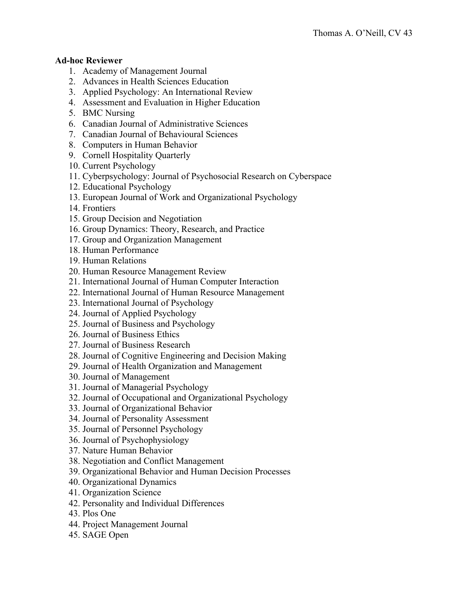#### **Ad-hoc Reviewer**

- 1. Academy of Management Journal
- 2. Advances in Health Sciences Education
- 3. Applied Psychology: An International Review
- 4. Assessment and Evaluation in Higher Education
- 5. BMC Nursing
- 6. Canadian Journal of Administrative Sciences
- 7. Canadian Journal of Behavioural Sciences
- 8. Computers in Human Behavior
- 9. Cornell Hospitality Quarterly
- 10. Current Psychology
- 11. Cyberpsychology: Journal of Psychosocial Research on Cyberspace
- 12. Educational Psychology
- 13. European Journal of Work and Organizational Psychology
- 14. Frontiers
- 15. Group Decision and Negotiation
- 16. Group Dynamics: Theory, Research, and Practice
- 17. Group and Organization Management
- 18. Human Performance
- 19. Human Relations
- 20. Human Resource Management Review
- 21. International Journal of Human Computer Interaction
- 22. International Journal of Human Resource Management
- 23. International Journal of Psychology
- 24. Journal of Applied Psychology
- 25. Journal of Business and Psychology
- 26. Journal of Business Ethics
- 27. Journal of Business Research
- 28. Journal of Cognitive Engineering and Decision Making
- 29. Journal of Health Organization and Management
- 30. Journal of Management
- 31. Journal of Managerial Psychology
- 32. Journal of Occupational and Organizational Psychology
- 33. Journal of Organizational Behavior
- 34. Journal of Personality Assessment
- 35. Journal of Personnel Psychology
- 36. Journal of Psychophysiology
- 37. Nature Human Behavior
- 38. Negotiation and Conflict Management
- 39. Organizational Behavior and Human Decision Processes
- 40. Organizational Dynamics
- 41. Organization Science
- 42. Personality and Individual Differences
- 43. Plos One
- 44. Project Management Journal
- 45. SAGE Open